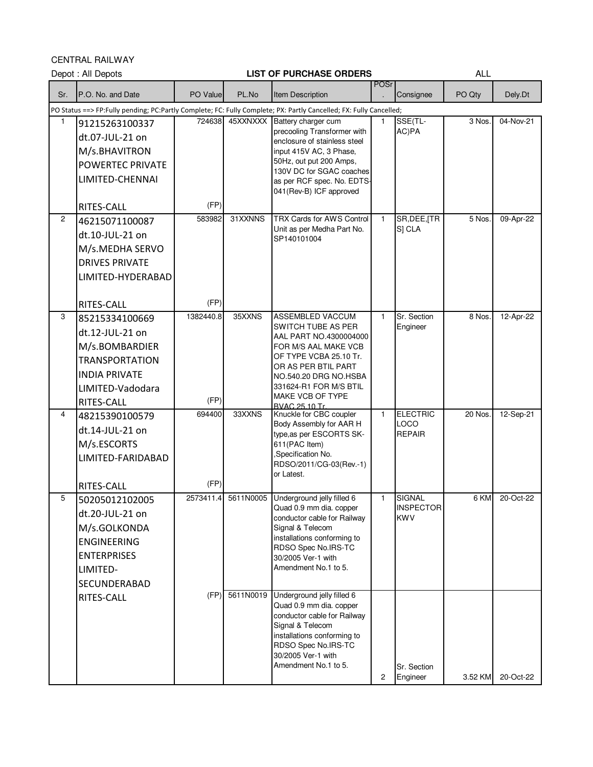CENTRAL RAILWAY

|              | Depot: All Depots                                                                                                                      |                   |                | <b>LIST OF PURCHASE ORDERS</b>                                                                                                                                                                                                                          |              |                                                 | <b>ALL</b> |           |
|--------------|----------------------------------------------------------------------------------------------------------------------------------------|-------------------|----------------|---------------------------------------------------------------------------------------------------------------------------------------------------------------------------------------------------------------------------------------------------------|--------------|-------------------------------------------------|------------|-----------|
| Sr.          | P.O. No. and Date                                                                                                                      | PO Value          | PL.No          | Item Description                                                                                                                                                                                                                                        | <b>POSr</b>  | Consignee                                       | PO Qty     | Dely.Dt   |
|              |                                                                                                                                        |                   |                | PO Status ==> FP:Fully pending; PC:Partly Complete; FC: Fully Complete; PX: Partly Cancelled; FX: Fully Cancelled;                                                                                                                                      |              |                                                 |            |           |
| $\mathbf{1}$ | 91215263100337<br>dt.07-JUL-21 on<br>M/s.BHAVITRON<br><b>POWERTEC PRIVATE</b><br>LIMITED-CHENNAI                                       | 724638            | 45XXNXXX       | Battery charger cum<br>precooling Transformer with<br>enclosure of stainless steel<br>input 415V AC, 3 Phase,<br>50Hz, out put 200 Amps,<br>130V DC for SGAC coaches<br>as per RCF spec. No. EDTS-<br>041(Rev-B) ICF approved                           | 1            | SSE(TL-<br>AC)PA                                | 3 Nos      | 04-Nov-21 |
|              | <b>RITES-CALL</b>                                                                                                                      | (FP)              |                |                                                                                                                                                                                                                                                         |              |                                                 |            |           |
| 2            | 46215071100087<br>dt.10-JUL-21 on<br>M/s.MEDHA SERVO<br><b>DRIVES PRIVATE</b><br>LIMITED-HYDERABAD                                     | 583982            | 31XXNNS        | TRX Cards for AWS Control<br>Unit as per Medha Part No.<br>SP140101004                                                                                                                                                                                  | 1            | SR, DEE, [TR<br>S] CLA                          | 5 Nos.     | 09-Apr-22 |
|              | RITES-CALL                                                                                                                             | (FP)              |                |                                                                                                                                                                                                                                                         |              |                                                 |            |           |
| 3            | 85215334100669<br>dt.12-JUL-21 on<br>M/s.BOMBARDIER<br><b>TRANSPORTATION</b><br><b>INDIA PRIVATE</b><br>LIMITED-Vadodara<br>RITES-CALL | 1382440.8<br>(FP) | 35XXNS         | <b>ASSEMBLED VACCUM</b><br><b>SWITCH TUBE AS PER</b><br>AAL PART NO.4300004000<br>FOR M/S AAL MAKE VCB<br>OF TYPE VCBA 25.10 Tr.<br>OR AS PER BTIL PART<br>NO.540.20 DRG NO.HSBA<br>331624-R1 FOR M/S BTIL<br>MAKE VCB OF TYPE<br><b>BVAC 25.10 Tr.</b> | $\mathbf{1}$ | Sr. Section<br>Engineer                         | 8 Nos.     | 12-Apr-22 |
| 4            | 48215390100579<br>dt.14-JUL-21 on<br>M/s.ESCORTS<br>LIMITED-FARIDABAD<br>RITES-CALL                                                    | 694400<br>(FP)    | 33XXNS         | Knuckle for CBC coupler<br>Body Assembly for AAR H<br>type, as per ESCORTS SK-<br>611(PAC Item)<br>,Specification No.<br>RDSO/2011/CG-03(Rev.-1)<br>or Latest.                                                                                          | $\mathbf{1}$ | <b>ELECTRIC</b><br><b>LOCO</b><br><b>REPAIR</b> | 20 Nos.    | 12-Sep-21 |
| 5            | 50205012102005<br>dt.20-JUL-21 on<br>M/s.GOLKONDA<br><b>ENGINEERING</b><br><b>ENTERPRISES</b><br>LIMITED-<br>SECUNDERABAD              |                   |                | 2573411.4 5611N0005 Underground jelly filled 6<br>Quad 0.9 mm dia. copper<br>conductor cable for Railway<br>Signal & Telecom<br>installations conforming to<br>RDSO Spec No.IRS-TC<br>30/2005 Ver-1 with<br>Amendment No.1 to 5.                        | 1            | SIGNAL<br><b>INSPECTOR</b><br><b>KWV</b>        | 6 KM       | 20-Oct-22 |
|              | RITES-CALL                                                                                                                             |                   | (FP) 5611N0019 | Underground jelly filled 6<br>Quad 0.9 mm dia. copper<br>conductor cable for Railway<br>Signal & Telecom<br>installations conforming to<br>RDSO Spec No.IRS-TC<br>30/2005 Ver-1 with<br>Amendment No.1 to 5.                                            | 2            | Sr. Section<br>Engineer                         | 3.52 KM    | 20-Oct-22 |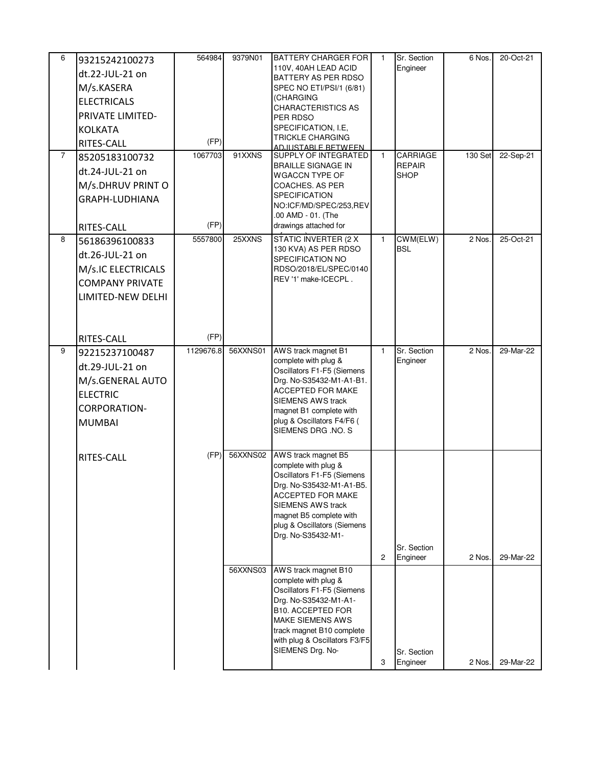| 6 | 93215242100273         | 564984    | 9379N01  | <b>BATTERY CHARGER FOR</b>                                  | 1              | Sr. Section             | 6 Nos.  | 20-Oct-21 |
|---|------------------------|-----------|----------|-------------------------------------------------------------|----------------|-------------------------|---------|-----------|
|   | dt.22-JUL-21 on        |           |          | 110V, 40AH LEAD ACID                                        |                | Engineer                |         |           |
|   | M/s.KASERA             |           |          | BATTERY AS PER RDSO<br>SPEC NO ETI/PSI/1 (6/81)             |                |                         |         |           |
|   | <b>ELECTRICALS</b>     |           |          | (CHARGING                                                   |                |                         |         |           |
|   | PRIVATE LIMITED-       |           |          | <b>CHARACTERISTICS AS</b>                                   |                |                         |         |           |
|   |                        |           |          | PER RDSO<br>SPECIFICATION, I.E,                             |                |                         |         |           |
|   | <b>KOLKATA</b>         | (FP)      |          | <b>TRICKLE CHARGING</b>                                     |                |                         |         |           |
| 7 | RITES-CALL             | 1067703   | 91XXNS   | <u>AD.ILISTABI F BETWEEN</u><br><b>SUPPLY OF INTEGRATED</b> | $\mathbf{1}$   | CARRIAGE                | 130 Set | 22-Sep-21 |
|   | 85205183100732         |           |          | <b>BRAILLE SIGNAGE IN</b>                                   |                | <b>REPAIR</b>           |         |           |
|   | dt.24-JUL-21 on        |           |          | <b>WGACCN TYPE OF</b>                                       |                | <b>SHOP</b>             |         |           |
|   | M/s.DHRUV PRINT O      |           |          | COACHES. AS PER                                             |                |                         |         |           |
|   | GRAPH-LUDHIANA         |           |          | <b>SPECIFICATION</b><br>NO:ICF/MD/SPEC/253,REV              |                |                         |         |           |
|   |                        |           |          | .00 AMD - 01. (The                                          |                |                         |         |           |
|   | RITES-CALL             | (FP)      |          | drawings attached for                                       |                |                         |         |           |
| 8 | 56186396100833         | 5557800   | 25XXNS   | <b>STATIC INVERTER (2 X</b>                                 | $\mathbf{1}$   | CWM(ELW)<br><b>BSL</b>  | 2 Nos   | 25-Oct-21 |
|   | dt.26-JUL-21 on        |           |          | 130 KVA) AS PER RDSO<br>SPECIFICATION NO                    |                |                         |         |           |
|   | M/s.IC ELECTRICALS     |           |          | RDSO/2018/EL/SPEC/0140                                      |                |                         |         |           |
|   | <b>COMPANY PRIVATE</b> |           |          | REV '1' make-ICECPL.                                        |                |                         |         |           |
|   | LIMITED-NEW DELHI      |           |          |                                                             |                |                         |         |           |
|   |                        |           |          |                                                             |                |                         |         |           |
|   |                        |           |          |                                                             |                |                         |         |           |
|   | RITES-CALL             | (FP)      |          |                                                             |                |                         |         |           |
| 9 | 92215237100487         | 1129676.8 | 56XXNS01 | AWS track magnet B1                                         | $\mathbf{1}$   | Sr. Section             | 2 Nos.  | 29-Mar-22 |
|   | dt.29-JUL-21 on        |           |          | complete with plug &<br>Oscillators F1-F5 (Siemens          |                | Engineer                |         |           |
|   | M/s.GENERAL AUTO       |           |          | Drg. No-S35432-M1-A1-B1.                                    |                |                         |         |           |
|   | <b>ELECTRIC</b>        |           |          | <b>ACCEPTED FOR MAKE</b>                                    |                |                         |         |           |
|   | <b>CORPORATION-</b>    |           |          | <b>SIEMENS AWS track</b>                                    |                |                         |         |           |
|   | <b>MUMBAI</b>          |           |          | magnet B1 complete with<br>plug & Oscillators F4/F6 (       |                |                         |         |           |
|   |                        |           |          | SIEMENS DRG .NO. S                                          |                |                         |         |           |
|   |                        |           |          |                                                             |                |                         |         |           |
|   | RITES-CALL             | (FP)      | 56XXNS02 | AWS track magnet B5<br>complete with plug &                 |                |                         |         |           |
|   |                        |           |          | Oscillators F1-F5 (Siemens                                  |                |                         |         |           |
|   |                        |           |          | Drg. No-S35432-M1-A1-B5.                                    |                |                         |         |           |
|   |                        |           |          | <b>ACCEPTED FOR MAKE</b><br><b>SIEMENS AWS track</b>        |                |                         |         |           |
|   |                        |           |          | magnet B5 complete with                                     |                |                         |         |           |
|   |                        |           |          | plug & Oscillators (Siemens                                 |                |                         |         |           |
|   |                        |           |          | Drg. No-S35432-M1-                                          |                |                         |         |           |
|   |                        |           |          |                                                             | $\overline{c}$ | Sr. Section<br>Engineer | 2 Nos.  | 29-Mar-22 |
|   |                        |           | 56XXNS03 | AWS track magnet B10                                        |                |                         |         |           |
|   |                        |           |          | complete with plug &                                        |                |                         |         |           |
|   |                        |           |          | Oscillators F1-F5 (Siemens                                  |                |                         |         |           |
|   |                        |           |          | Drg. No-S35432-M1-A1-<br><b>B10. ACCEPTED FOR</b>           |                |                         |         |           |
|   |                        |           |          | <b>MAKE SIEMENS AWS</b>                                     |                |                         |         |           |
|   |                        |           |          | track magnet B10 complete                                   |                |                         |         |           |
|   |                        |           |          | with plug & Oscillators F3/F5<br>SIEMENS Drg. No-           |                | Sr. Section             |         |           |
|   |                        |           |          |                                                             | 3              | Engineer                | 2 Nos.  | 29-Mar-22 |
|   |                        |           |          |                                                             |                |                         |         |           |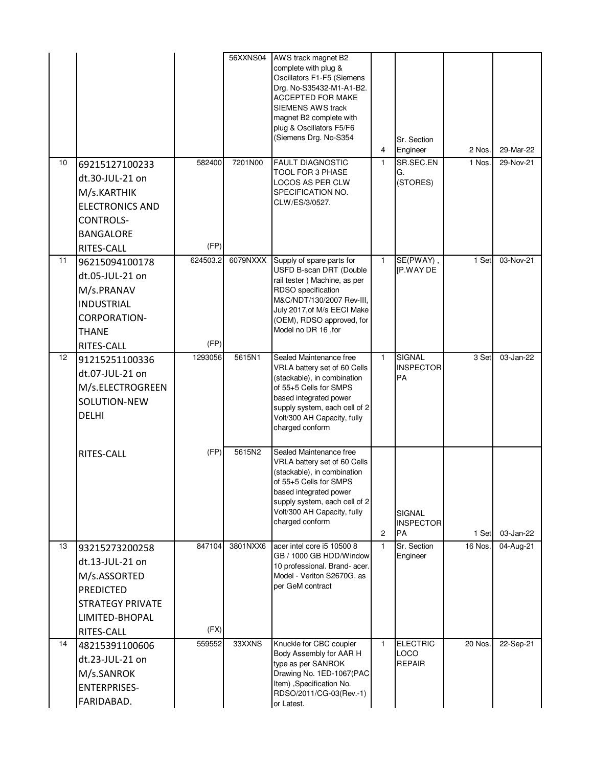| 10 | 69215127100233<br>dt.30-JUL-21 on<br>M/s.KARTHIK<br><b>ELECTRONICS AND</b><br><b>CONTROLS-</b><br><b>BANGALORE</b>                             | 582400<br>(FP)   | 56XXNS04<br>7201N00 | AWS track magnet B2<br>complete with plug &<br>Oscillators F1-F5 (Siemens<br>Drg. No-S35432-M1-A1-B2.<br>ACCEPTED FOR MAKE<br><b>SIEMENS AWS track</b><br>magnet B2 complete with<br>plug & Oscillators F5/F6<br>(Siemens Drg. No-S354<br><b>FAULT DIAGNOSTIC</b><br>TOOL FOR 3 PHASE<br>LOCOS AS PER CLW<br>SPECIFICATION NO.<br>CLW/ES/3/0527. | 4<br>$\mathbf{1}$ | Sr. Section<br>Engineer<br>SR.SEC.EN<br>G.<br>(STORES) | 2 Nos.<br>1 Nos. | 29-Mar-22<br>29-Nov-21 |
|----|------------------------------------------------------------------------------------------------------------------------------------------------|------------------|---------------------|--------------------------------------------------------------------------------------------------------------------------------------------------------------------------------------------------------------------------------------------------------------------------------------------------------------------------------------------------|-------------------|--------------------------------------------------------|------------------|------------------------|
| 11 | RITES-CALL<br>96215094100178<br>dt.05-JUL-21 on<br>M/s.PRANAV<br><b>INDUSTRIAL</b><br><b>CORPORATION-</b><br><b>THANE</b><br><b>RITES-CALL</b> | 624503.2<br>(FP) | 6079NXXX            | Supply of spare parts for<br>USFD B-scan DRT (Double<br>rail tester) Machine, as per<br>RDSO specification<br>M&C/NDT/130/2007 Rev-III,<br>July 2017, of M/s EECI Make<br>(OEM), RDSO approved, for<br>Model no DR 16, for                                                                                                                       | 1                 | SE(PWAY),<br><b>IP.WAY DE</b>                          | 1 Set            | 03-Nov-21              |
| 12 | 91215251100336<br>dt.07-JUL-21 on<br>M/s.ELECTROGREEN<br>SOLUTION-NEW<br><b>DELHI</b>                                                          | 1293056          | 5615N1              | Sealed Maintenance free<br>VRLA battery set of 60 Cells<br>(stackable), in combination<br>of 55+5 Cells for SMPS<br>based integrated power<br>supply system, each cell of 2<br>Volt/300 AH Capacity, fully<br>charged conform                                                                                                                    | $\mathbf{1}$      | <b>SIGNAL</b><br><b>INSPECTOR</b><br>PA                | 3 Set            | 03-Jan-22              |
|    | <b>RITES-CALL</b>                                                                                                                              | (FP)             | 5615N2              | Sealed Maintenance free<br>VRLA battery set of 60 Cells<br>(stackable), in combination<br>of 55+5 Cells for SMPS<br>based integrated power<br>supply system, each cell of 2<br>Volt/300 AH Capacity, fully<br>charged conform                                                                                                                    | $\overline{c}$    | <b>SIGNAL</b><br><b>INSPECTOR</b><br><b>PA</b>         | 1 Set            | 03-Jan-22              |
| 13 | 93215273200258<br>dt.13-JUL-21 on<br>M/s.ASSORTED<br><b>PREDICTED</b><br><b>STRATEGY PRIVATE</b><br>LIMITED-BHOPAL<br>RITES-CALL               | 847104<br>(FX)   | 3801NXX6            | acer intel core i5 10500 8<br>GB / 1000 GB HDD/Window<br>10 professional. Brand- acer.<br>Model - Veriton S2670G. as<br>per GeM contract                                                                                                                                                                                                         | 1                 | Sr. Section<br>Engineer                                | 16 Nos.          | 04-Aug-21              |
| 14 | 48215391100606<br>dt.23-JUL-21 on<br>M/s.SANROK<br><b>ENTERPRISES-</b><br>FARIDABAD.                                                           | 559552           | 33XXNS              | Knuckle for CBC coupler<br>Body Assembly for AAR H<br>type as per SANROK<br>Drawing No. 1ED-1067(PAC<br>Item) , Specification No.<br>RDSO/2011/CG-03(Rev.-1)<br>or Latest.                                                                                                                                                                       | $\mathbf{1}$      | <b>ELECTRIC</b><br>LOCO<br><b>REPAIR</b>               | 20 Nos.          | 22-Sep-21              |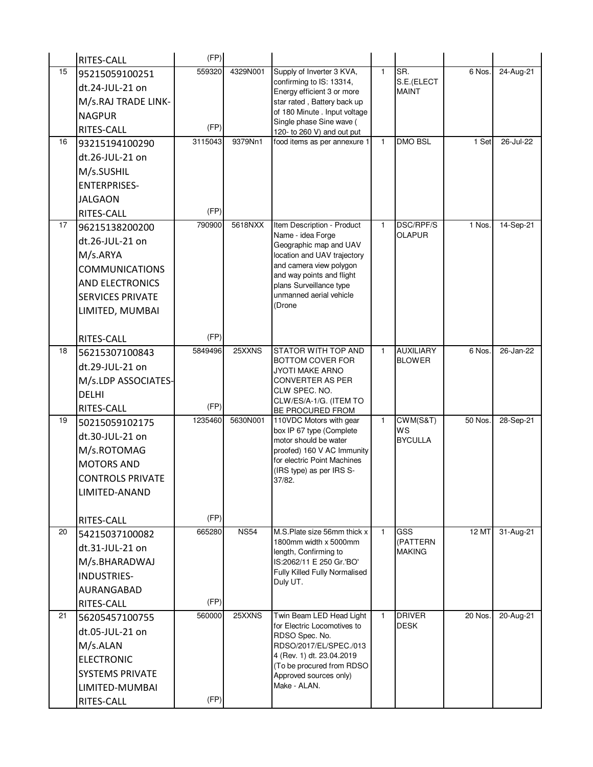|    | RITES-CALL              | (FP)            |             |                                                           |              |                              |         |           |
|----|-------------------------|-----------------|-------------|-----------------------------------------------------------|--------------|------------------------------|---------|-----------|
| 15 | 95215059100251          | 559320          | 4329N001    | Supply of Inverter 3 KVA,                                 | $\mathbf{1}$ | SR.                          | 6 Nos.  | 24-Aug-21 |
|    | dt.24-JUL-21 on         |                 |             | confirming to IS: 13314,<br>Energy efficient 3 or more    |              | S.E.(ELECT<br>MAINT          |         |           |
|    | M/s.RAJ TRADE LINK-     |                 |             | star rated, Battery back up                               |              |                              |         |           |
|    | <b>NAGPUR</b>           |                 |             | of 180 Minute . Input voltage                             |              |                              |         |           |
|    | RITES-CALL              | (FP)            |             | Single phase Sine wave (<br>120- to 260 V) and out put    |              |                              |         |           |
| 16 | 93215194100290          | 3115043         | 9379Nn1     | food items as per annexure 1                              | $\mathbf{1}$ | <b>DMO BSL</b>               | 1 Set   | 26-Jul-22 |
|    | dt.26-JUL-21 on         |                 |             |                                                           |              |                              |         |           |
|    | M/s.SUSHIL              |                 |             |                                                           |              |                              |         |           |
|    | <b>ENTERPRISES-</b>     |                 |             |                                                           |              |                              |         |           |
|    | <b>JALGAON</b>          |                 |             |                                                           |              |                              |         |           |
|    | RITES-CALL              | (FP)            |             |                                                           |              |                              |         |           |
| 17 | 96215138200200          | 790900          | 5618NXX     | Item Description - Product                                | 1            | DSC/RPF/S                    | 1 Nos.  | 14-Sep-21 |
|    | dt.26-JUL-21 on         |                 |             | Name - idea Forge                                         |              | <b>OLAPUR</b>                |         |           |
|    | M/s.ARYA                |                 |             | Geographic map and UAV<br>location and UAV trajectory     |              |                              |         |           |
|    | <b>COMMUNICATIONS</b>   |                 |             | and camera view polygon                                   |              |                              |         |           |
|    |                         |                 |             | and way points and flight                                 |              |                              |         |           |
|    | AND ELECTRONICS         |                 |             | plans Surveillance type<br>unmanned aerial vehicle        |              |                              |         |           |
|    | <b>SERVICES PRIVATE</b> |                 |             | (Drone                                                    |              |                              |         |           |
|    | LIMITED, MUMBAI         |                 |             |                                                           |              |                              |         |           |
|    |                         | (FP)            |             |                                                           |              |                              |         |           |
| 18 | RITES-CALL              | 5849496         | 25XXNS      | STATOR WITH TOP AND                                       | $\mathbf{1}$ | <b>AUXILIARY</b>             | 6 Nos.  | 26-Jan-22 |
|    | 56215307100843          |                 |             | <b>BOTTOM COVER FOR</b>                                   |              | <b>BLOWER</b>                |         |           |
|    | dt.29-JUL-21 on         |                 |             | <b>JYOTI MAKE ARNO</b>                                    |              |                              |         |           |
|    | M/s.LDP ASSOCIATES-     |                 |             | <b>CONVERTER AS PER</b><br>CLW SPEC. NO.                  |              |                              |         |           |
|    | <b>DELHI</b>            |                 |             | CLW/ES/A-1/G. (ITEM TO                                    |              |                              |         |           |
| 19 | RITES-CALL              | (FP)<br>1235460 | 5630N001    | BE PROCURED FROM                                          | $\mathbf{1}$ |                              | 50 Nos. |           |
|    | 50215059102175          |                 |             | 110VDC Motors with gear<br>box IP 67 type (Complete       |              | CWM(S&T)<br>WS               |         | 28-Sep-21 |
|    | dt.30-JUL-21 on         |                 |             | motor should be water                                     |              | <b>BYCULLA</b>               |         |           |
|    | M/s.ROTOMAG             |                 |             | proofed) 160 V AC Immunity<br>for electric Point Machines |              |                              |         |           |
|    | <b>MOTORS AND</b>       |                 |             | (IRS type) as per IRS S-                                  |              |                              |         |           |
|    | <b>CONTROLS PRIVATE</b> |                 |             | 37/82.                                                    |              |                              |         |           |
|    | LIMITED-ANAND           |                 |             |                                                           |              |                              |         |           |
|    |                         |                 |             |                                                           |              |                              |         |           |
|    | RITES-CALL              | (FP)            |             |                                                           |              |                              |         |           |
| 20 | 54215037100082          | 665280          | <b>NS54</b> | M.S.Plate size 56mm thick x<br>1800mm width x 5000mm      | $\mathbf{1}$ | <b>GSS</b><br>(PATTERN       | 12 MT   | 31-Aug-21 |
|    | dt.31-JUL-21 on         |                 |             | length, Confirming to                                     |              | MAKING                       |         |           |
|    | M/s.BHARADWAJ           |                 |             | IS:2062/11 E 250 Gr.'BO'                                  |              |                              |         |           |
|    | INDUSTRIES-             |                 |             | Fully Killed Fully Normalised<br>Duly UT.                 |              |                              |         |           |
|    | AURANGABAD              |                 |             |                                                           |              |                              |         |           |
|    | RITES-CALL              | (FP)            |             |                                                           |              |                              |         |           |
| 21 | 56205457100755          | 560000          | 25XXNS      | Twin Beam LED Head Light<br>for Electric Locomotives to   | 1            | <b>DRIVER</b><br><b>DESK</b> | 20 Nos. | 20-Aug-21 |
|    | dt.05-JUL-21 on         |                 |             | RDSO Spec. No.                                            |              |                              |         |           |
|    | M/s.ALAN                |                 |             | RDSO/2017/EL/SPEC./013                                    |              |                              |         |           |
|    | <b>ELECTRONIC</b>       |                 |             | 4 (Rev. 1) dt. 23.04.2019<br>(To be procured from RDSO    |              |                              |         |           |
|    | <b>SYSTEMS PRIVATE</b>  |                 |             | Approved sources only)                                    |              |                              |         |           |
|    | LIMITED-MUMBAI          |                 |             | Make - ALAN.                                              |              |                              |         |           |
|    | RITES-CALL              | (FP)            |             |                                                           |              |                              |         |           |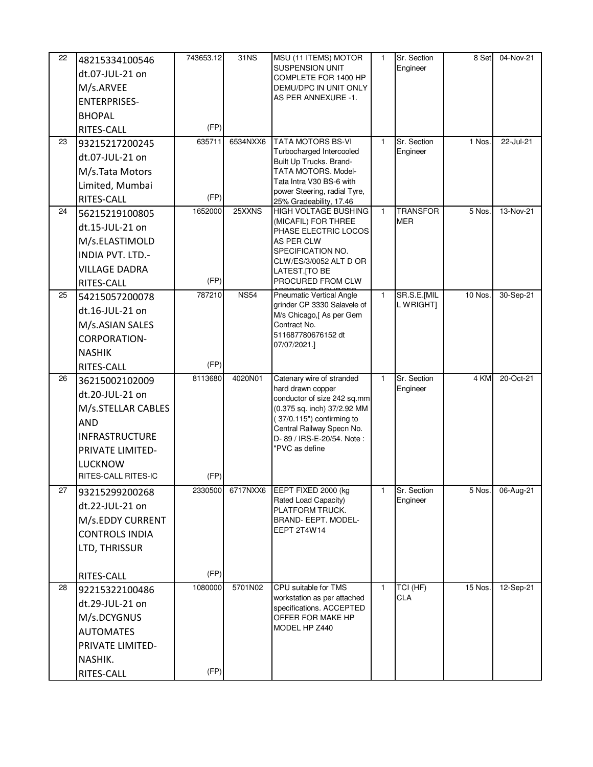| 22 | 48215334100546        | 743653.12 | 31NS        | MSU (11 ITEMS) MOTOR                                    | 1            | Sr. Section     | 8 Set   | 04-Nov-21 |
|----|-----------------------|-----------|-------------|---------------------------------------------------------|--------------|-----------------|---------|-----------|
|    | dt.07-JUL-21 on       |           |             | <b>SUSPENSION UNIT</b><br>COMPLETE FOR 1400 HP          |              | Engineer        |         |           |
|    | M/s.ARVEE             |           |             | DEMU/DPC IN UNIT ONLY                                   |              |                 |         |           |
|    | <b>ENTERPRISES-</b>   |           |             | AS PER ANNEXURE -1.                                     |              |                 |         |           |
|    | <b>BHOPAL</b>         |           |             |                                                         |              |                 |         |           |
|    | RITES-CALL            | (FP)      |             |                                                         |              |                 |         |           |
| 23 | 93215217200245        | 635711    | 6534NXX6    | <b>TATA MOTORS BS-VI</b>                                | $\mathbf{1}$ | Sr. Section     | 1 Nos.  | 22-Jul-21 |
|    | dt.07-JUL-21 on       |           |             | Turbocharged Intercooled                                |              | Engineer        |         |           |
|    | M/s.Tata Motors       |           |             | Built Up Trucks. Brand-<br>TATA MOTORS. Model-          |              |                 |         |           |
|    | Limited, Mumbai       |           |             | Tata Intra V30 BS-6 with                                |              |                 |         |           |
|    | RITES-CALL            | (FP)      |             | power Steering, radial Tyre,<br>25% Gradeability, 17.46 |              |                 |         |           |
| 24 | 56215219100805        | 1652000   | 25XXNS      | HIGH VOLTAGE BUSHING                                    | $\mathbf{1}$ | <b>TRANSFOR</b> | 5 Nos.  | 13-Nov-21 |
|    | dt.15-JUL-21 on       |           |             | (MICAFIL) FOR THREE                                     |              | <b>MER</b>      |         |           |
|    | M/s.ELASTIMOLD        |           |             | PHASE ELECTRIC LOCOS<br>AS PER CLW                      |              |                 |         |           |
|    | INDIA PVT. LTD.-      |           |             | SPECIFICATION NO.                                       |              |                 |         |           |
|    | <b>VILLAGE DADRA</b>  |           |             | CLW/ES/3/0052 ALT D OR<br>LATEST.[TO BE                 |              |                 |         |           |
|    | RITES-CALL            | (FP)      |             | PROCURED FROM CLW                                       |              |                 |         |           |
| 25 | 54215057200078        | 787210    | <b>NS54</b> | <b>Pneumatic Vertical Angle</b>                         | $\mathbf{1}$ | SR.S.E.[MIL     | 10 Nos. | 30-Sep-21 |
|    | dt.16-JUL-21 on       |           |             | grinder CP 3330 Salavele of                             |              | L WRIGHT]       |         |           |
|    | M/s.ASIAN SALES       |           |             | M/s Chicago,[ As per Gem<br>Contract No.                |              |                 |         |           |
|    | <b>CORPORATION-</b>   |           |             | 511687780676152 dt                                      |              |                 |         |           |
|    | <b>NASHIK</b>         |           |             | 07/07/2021.]                                            |              |                 |         |           |
|    | RITES-CALL            | (FP)      |             |                                                         |              |                 |         |           |
| 26 | 36215002102009        | 8113680   | 4020N01     | Catenary wire of stranded                               | $\mathbf{1}$ | Sr. Section     | 4 KM    | 20-Oct-21 |
|    | dt.20-JUL-21 on       |           |             | hard drawn copper<br>conductor of size 242 sq.mm        |              | Engineer        |         |           |
|    | M/s.STELLAR CABLES    |           |             | (0.375 sq. inch) 37/2.92 MM                             |              |                 |         |           |
|    | <b>AND</b>            |           |             | (37/0.115") confirming to                               |              |                 |         |           |
|    | <b>INFRASTRUCTURE</b> |           |             | Central Railway Specn No.<br>D- 89 / IRS-E-20/54. Note: |              |                 |         |           |
|    | PRIVATE LIMITED-      |           |             | "PVC as define                                          |              |                 |         |           |
|    | <b>LUCKNOW</b>        |           |             |                                                         |              |                 |         |           |
|    | RITES-CALL RITES-IC   | (FP)      |             |                                                         |              |                 |         |           |
| 27 | 93215299200268        | 2330500   | 6717NXX6    | EEPT FIXED 2000 (kg                                     | 1            | Sr. Section     | 5 Nos.  | 06-Aug-21 |
|    | dt.22-JUL-21 on       |           |             | Rated Load Capacity)<br>PLATFORM TRUCK.                 |              | Engineer        |         |           |
|    | M/s.EDDY CURRENT      |           |             | <b>BRAND- EEPT. MODEL-</b>                              |              |                 |         |           |
|    | <b>CONTROLS INDIA</b> |           |             | EEPT 2T4W14                                             |              |                 |         |           |
|    | LTD, THRISSUR         |           |             |                                                         |              |                 |         |           |
|    |                       |           |             |                                                         |              |                 |         |           |
|    | RITES-CALL            | (FP)      |             |                                                         |              |                 |         |           |
| 28 | 92215322100486        | 1080000   | 5701N02     | CPU suitable for TMS                                    | $\mathbf{1}$ | TCI (HF)        | 15 Nos. | 12-Sep-21 |
|    | dt.29-JUL-21 on       |           |             | workstation as per attached<br>specifications. ACCEPTED |              | <b>CLA</b>      |         |           |
|    | M/s.DCYGNUS           |           |             | OFFER FOR MAKE HP                                       |              |                 |         |           |
|    | <b>AUTOMATES</b>      |           |             | MODEL HP Z440                                           |              |                 |         |           |
|    | PRIVATE LIMITED-      |           |             |                                                         |              |                 |         |           |
|    | NASHIK.               |           |             |                                                         |              |                 |         |           |
|    | RITES-CALL            | (FP)      |             |                                                         |              |                 |         |           |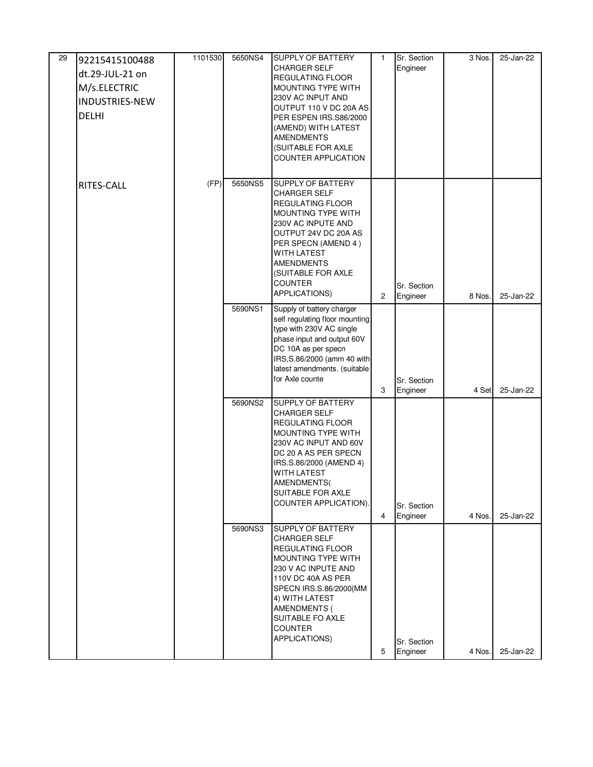| 29 | 92215415100488        | 1101530 | 5650NS4 | <b>SUPPLY OF BATTERY</b>                                    | $\mathbf{1}$   | Sr. Section             | $\overline{3}$ Nos. | 25-Jan-22 |
|----|-----------------------|---------|---------|-------------------------------------------------------------|----------------|-------------------------|---------------------|-----------|
|    | dt.29-JUL-21 on       |         |         | <b>CHARGER SELF</b><br><b>REGULATING FLOOR</b>              |                | Engineer                |                     |           |
|    | M/s.ELECTRIC          |         |         | MOUNTING TYPE WITH                                          |                |                         |                     |           |
|    | <b>INDUSTRIES-NEW</b> |         |         | 230V AC INPUT AND                                           |                |                         |                     |           |
|    | <b>DELHI</b>          |         |         | OUTPUT 110 V DC 20A AS<br>PER ESPEN IRS.S86/2000            |                |                         |                     |           |
|    |                       |         |         | (AMEND) WITH LATEST                                         |                |                         |                     |           |
|    |                       |         |         | <b>AMENDMENTS</b>                                           |                |                         |                     |           |
|    |                       |         |         | (SUITABLE FOR AXLE<br><b>COUNTER APPLICATION</b>            |                |                         |                     |           |
|    |                       |         |         |                                                             |                |                         |                     |           |
|    | RITES-CALL            | (FP)    | 5650NS5 | <b>SUPPLY OF BATTERY</b>                                    |                |                         |                     |           |
|    |                       |         |         | <b>CHARGER SELF</b><br>REGULATING FLOOR                     |                |                         |                     |           |
|    |                       |         |         | MOUNTING TYPE WITH                                          |                |                         |                     |           |
|    |                       |         |         | 230V AC INPUTE AND                                          |                |                         |                     |           |
|    |                       |         |         | OUTPUT 24V DC 20A AS<br>PER SPECN (AMEND 4)                 |                |                         |                     |           |
|    |                       |         |         | <b>WITH LATEST</b>                                          |                |                         |                     |           |
|    |                       |         |         | <b>AMENDMENTS</b><br>(SUITABLE FOR AXLE                     |                |                         |                     |           |
|    |                       |         |         | <b>COUNTER</b>                                              |                | Sr. Section             |                     |           |
|    |                       |         |         | APPLICATIONS)                                               | $\overline{c}$ | Engineer                | 8 Nos.              | 25-Jan-22 |
|    |                       |         | 5690NS1 | Supply of battery charger<br>self regulating floor mounting |                |                         |                     |           |
|    |                       |         |         | type with 230V AC single                                    |                |                         |                     |           |
|    |                       |         |         | phase input and output 60V                                  |                |                         |                     |           |
|    |                       |         |         | DC 10A as per specn<br>IRS, S.86/2000 (amm 40 with          |                |                         |                     |           |
|    |                       |         |         | latest amendments. (suitable                                |                |                         |                     |           |
|    |                       |         |         | for Axle counte                                             |                | Sr. Section             |                     |           |
|    |                       |         | 5690NS2 | <b>SUPPLY OF BATTERY</b>                                    | 3              | Engineer                | 4 Set               | 25-Jan-22 |
|    |                       |         |         | <b>CHARGER SELF</b>                                         |                |                         |                     |           |
|    |                       |         |         | REGULATING FLOOR                                            |                |                         |                     |           |
|    |                       |         |         | MOUNTING TYPE WITH<br>230V AC INPUT AND 60V                 |                |                         |                     |           |
|    |                       |         |         | DC 20 A AS PER SPECN                                        |                |                         |                     |           |
|    |                       |         |         | IRS.S.86/2000 (AMEND 4)                                     |                |                         |                     |           |
|    |                       |         |         | <b>WITH LATEST</b><br>AMENDMENTS(                           |                |                         |                     |           |
|    |                       |         |         | SUITABLE FOR AXLE                                           |                |                         |                     |           |
|    |                       |         |         | COUNTER APPLICATION).                                       |                | Sr. Section             |                     |           |
|    |                       |         |         |                                                             | 4              | Engineer                | 4 Nos.              | 25-Jan-22 |
|    |                       |         | 5690NS3 | <b>SUPPLY OF BATTERY</b><br><b>CHARGER SELF</b>             |                |                         |                     |           |
|    |                       |         |         | REGULATING FLOOR                                            |                |                         |                     |           |
|    |                       |         |         | MOUNTING TYPE WITH<br>230 V AC INPUTE AND                   |                |                         |                     |           |
|    |                       |         |         | 110V DC 40A AS PER                                          |                |                         |                     |           |
|    |                       |         |         | SPECN IRS.S.86/2000(MM                                      |                |                         |                     |           |
|    |                       |         |         | 4) WITH LATEST<br>AMENDMENTS (                              |                |                         |                     |           |
|    |                       |         |         | SUITABLE FO AXLE                                            |                |                         |                     |           |
|    |                       |         |         | <b>COUNTER</b>                                              |                |                         |                     |           |
|    |                       |         |         | APPLICATIONS)                                               | 5              | Sr. Section<br>Engineer |                     | 25-Jan-22 |
|    |                       |         |         |                                                             |                |                         | 4 Nos.              |           |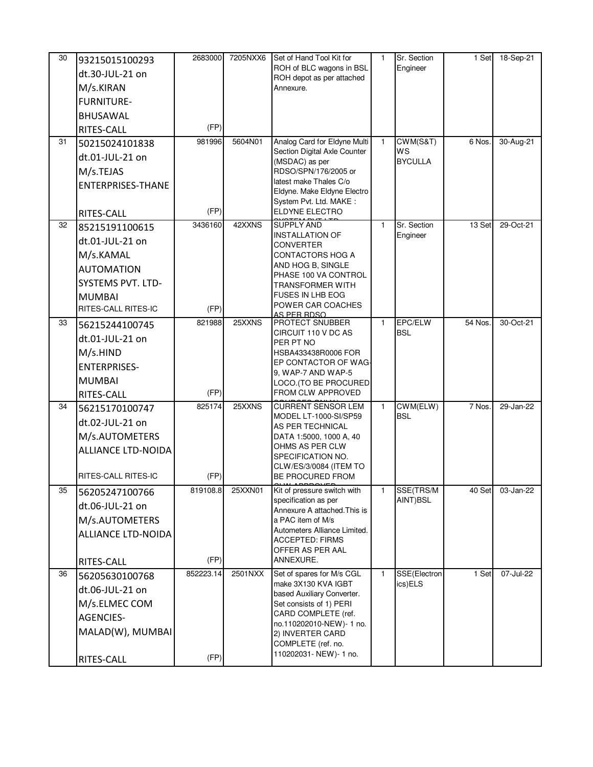| 30 | 93215015100293<br>dt.30-JUL-21 on<br>M/s.KIRAN                                                                         | 2683000           | 7205NXX6 | Set of Hand Tool Kit for<br>ROH of BLC wagons in BSL<br>ROH depot as per attached                                                                                                                                          | $\mathbf{1}$ | Sr. Section<br>Engineer               | 1 Set   | 18-Sep-21 |
|----|------------------------------------------------------------------------------------------------------------------------|-------------------|----------|----------------------------------------------------------------------------------------------------------------------------------------------------------------------------------------------------------------------------|--------------|---------------------------------------|---------|-----------|
|    | <b>FURNITURE-</b>                                                                                                      |                   |          | Annexure.                                                                                                                                                                                                                  |              |                                       |         |           |
|    | <b>BHUSAWAL</b>                                                                                                        |                   |          |                                                                                                                                                                                                                            |              |                                       |         |           |
|    | RITES-CALL                                                                                                             | (FP)              |          |                                                                                                                                                                                                                            |              |                                       |         |           |
| 31 | 50215024101838                                                                                                         | 981996            | 5604N01  | Analog Card for Eldyne Multi                                                                                                                                                                                               | $\mathbf{1}$ | CWM(S&T)                              | 6 Nos.  | 30-Aug-21 |
|    | dt.01-JUL-21 on                                                                                                        |                   |          | Section Digital Axle Counter<br>(MSDAC) as per                                                                                                                                                                             |              | WS<br><b>BYCULLA</b>                  |         |           |
|    | M/s.TEJAS                                                                                                              |                   |          | RDSO/SPN/176/2005 or                                                                                                                                                                                                       |              |                                       |         |           |
|    | ENTERPRISES-THANE                                                                                                      |                   |          | latest make Thales C/o<br>Eldyne. Make Eldyne Electro                                                                                                                                                                      |              |                                       |         |           |
|    |                                                                                                                        |                   |          | System Pvt. Ltd. MAKE:                                                                                                                                                                                                     |              |                                       |         |           |
|    | RITES-CALL                                                                                                             | (FP)              |          | ELDYNE ELECTRO                                                                                                                                                                                                             |              |                                       |         |           |
| 32 | 85215191100615                                                                                                         | 3436160           | 42XXNS   | <b>SUPPLY AND</b><br><b>INSTALLATION OF</b>                                                                                                                                                                                | $\mathbf{1}$ | Sr. Section<br>Engineer               | 13 Set  | 29-Oct-21 |
|    | dt.01-JUL-21 on                                                                                                        |                   |          | <b>CONVERTER</b>                                                                                                                                                                                                           |              |                                       |         |           |
|    | M/s.KAMAL                                                                                                              |                   |          | CONTACTORS HOG A<br>AND HOG B, SINGLE                                                                                                                                                                                      |              |                                       |         |           |
|    | <b>AUTOMATION</b>                                                                                                      |                   |          | PHASE 100 VA CONTROL                                                                                                                                                                                                       |              |                                       |         |           |
|    | <b>SYSTEMS PVT. LTD-</b>                                                                                               |                   |          | <b>TRANSFORMER WITH</b>                                                                                                                                                                                                    |              |                                       |         |           |
|    | <b>MUMBAI</b><br>RITES-CALL RITES-IC                                                                                   | (FP)              |          | <b>FUSES IN LHB EOG</b><br>POWER CAR COACHES                                                                                                                                                                               |              |                                       |         |           |
| 33 |                                                                                                                        | 821988            | 25XXNS   | AS PER RDSO<br><b>PROTECT SNUBBER</b>                                                                                                                                                                                      | $\mathbf{1}$ | EPC/ELW                               | 54 Nos. | 30-Oct-21 |
|    | 56215244100745                                                                                                         |                   |          | CIRCUIT 110 V DC AS                                                                                                                                                                                                        |              | <b>BSL</b>                            |         |           |
|    | dt.01-JUL-21 on<br>M/s.HIND                                                                                            |                   |          | PER PT NO<br>HSBA433438R0006 FOR                                                                                                                                                                                           |              |                                       |         |           |
|    | <b>ENTERPRISES-</b>                                                                                                    |                   |          | EP CONTACTOR OF WAG-                                                                                                                                                                                                       |              |                                       |         |           |
|    | <b>MUMBAI</b>                                                                                                          |                   |          | 9, WAP-7 AND WAP-5                                                                                                                                                                                                         |              |                                       |         |           |
|    | RITES-CALL                                                                                                             | (FP)              |          | LOCO.(TO BE PROCURED<br>FROM CLW APPROVED                                                                                                                                                                                  |              |                                       |         |           |
| 34 | 56215170100747                                                                                                         | 825174            | 25XXNS   | <b>CURRENT SENSOR LEM</b>                                                                                                                                                                                                  | $\mathbf{1}$ | CWM(ELW)                              | 7 Nos.  | 29-Jan-22 |
|    | dt.02-JUL-21 on                                                                                                        |                   |          | MODEL LT-1000-SI/SP59<br>AS PER TECHNICAL                                                                                                                                                                                  |              | <b>BSL</b>                            |         |           |
|    | M/s.AUTOMETERS                                                                                                         |                   |          | DATA 1:5000, 1000 A, 40                                                                                                                                                                                                    |              |                                       |         |           |
|    | ALLIANCE LTD-NOIDA                                                                                                     |                   |          | OHMS AS PER CLW                                                                                                                                                                                                            |              |                                       |         |           |
|    |                                                                                                                        |                   |          | CLW/ES/3/0084 (ITEM TO                                                                                                                                                                                                     |              |                                       |         |           |
|    | RITES-CALL RITES-IC                                                                                                    | (FP)              |          | BE PROCURED FROM                                                                                                                                                                                                           |              |                                       |         |           |
| 35 | 56205247100766                                                                                                         | 819108.8          | 25XXN01  |                                                                                                                                                                                                                            | 1            |                                       | 40 Set  | 03-Jan-22 |
|    | dt.06-JUL-21 on                                                                                                        |                   |          | Annexure A attached. This is                                                                                                                                                                                               |              |                                       |         |           |
|    | M/s.AUTOMETERS                                                                                                         |                   |          | a PAC item of M/s                                                                                                                                                                                                          |              |                                       |         |           |
|    | ALLIANCE LTD-NOIDA                                                                                                     |                   |          | <b>ACCEPTED: FIRMS</b>                                                                                                                                                                                                     |              |                                       |         |           |
|    |                                                                                                                        |                   |          | OFFER AS PER AAL                                                                                                                                                                                                           |              |                                       |         |           |
|    |                                                                                                                        |                   |          |                                                                                                                                                                                                                            |              |                                       |         |           |
|    |                                                                                                                        |                   |          | make 3X130 KVA IGBT                                                                                                                                                                                                        |              | ics)ELS                               |         |           |
|    |                                                                                                                        |                   |          | based Auxiliary Converter.                                                                                                                                                                                                 |              |                                       |         |           |
|    |                                                                                                                        |                   |          |                                                                                                                                                                                                                            |              |                                       |         |           |
|    |                                                                                                                        |                   |          | no.110202010-NEW)-1 no.                                                                                                                                                                                                    |              |                                       |         |           |
|    |                                                                                                                        |                   |          | 2) INVERTER CARD                                                                                                                                                                                                           |              |                                       |         |           |
|    |                                                                                                                        | (FP)              |          | 110202031- NEW)- 1 no.                                                                                                                                                                                                     |              |                                       |         |           |
| 36 | RITES-CALL<br>56205630100768<br>dt.06-JUL-21 on<br>M/s.ELMEC COM<br><b>AGENCIES-</b><br>MALAD(W), MUMBAI<br>RITES-CALL | (FP)<br>852223.14 | 2501NXX  | SPECIFICATION NO.<br>Kit of pressure switch with<br>specification as per<br>Autometers Alliance Limited.<br>ANNEXURE.<br>Set of spares for M/s CGL<br>Set consists of 1) PERI<br>CARD COMPLETE (ref.<br>COMPLETE (ref. no. | $\mathbf{1}$ | SSE(TRS/M<br>AINT)BSL<br>SSE(Electron | 1 Set   | 07-Jul-22 |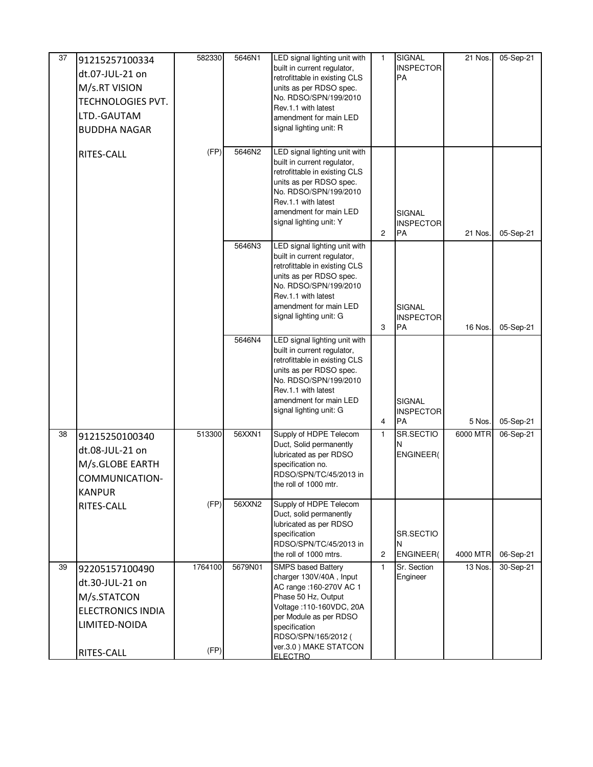| 37 | 91215257100334<br>dt.07-JUL-21 on<br>M/s.RT VISION<br><b>TECHNOLOGIES PVT.</b><br>LTD.-GAUTAM<br><b>BUDDHA NAGAR</b> | 582330          | 5646N1  | LED signal lighting unit with<br>built in current regulator,<br>retrofittable in existing CLS<br>units as per RDSO spec.<br>No. RDSO/SPN/199/2010<br>Rev.1.1 with latest<br>amendment for main LED<br>signal lighting unit: R                    | 1              | SIGNAL<br><b>INSPECTOR</b><br>PA        | 21 Nos.  | 05-Sep-21 |
|----|----------------------------------------------------------------------------------------------------------------------|-----------------|---------|--------------------------------------------------------------------------------------------------------------------------------------------------------------------------------------------------------------------------------------------------|----------------|-----------------------------------------|----------|-----------|
|    | RITES-CALL                                                                                                           | (FP)            | 5646N2  | LED signal lighting unit with<br>built in current regulator,<br>retrofittable in existing CLS<br>units as per RDSO spec.<br>No. RDSO/SPN/199/2010<br>Rev.1.1 with latest<br>amendment for main LED<br>signal lighting unit: Y                    | $\overline{2}$ | SIGNAL<br><b>INSPECTOR</b><br>PA        | 21 Nos.  | 05-Sep-21 |
|    |                                                                                                                      |                 | 5646N3  | LED signal lighting unit with<br>built in current regulator,<br>retrofittable in existing CLS<br>units as per RDSO spec.<br>No. RDSO/SPN/199/2010<br>Rev.1.1 with latest<br>amendment for main LED<br>signal lighting unit: G                    | 3              | SIGNAL<br><b>INSPECTOR</b><br><b>PA</b> | 16 Nos.  | 05-Sep-21 |
|    |                                                                                                                      |                 | 5646N4  | LED signal lighting unit with<br>built in current regulator,<br>retrofittable in existing CLS<br>units as per RDSO spec.<br>No. RDSO/SPN/199/2010<br>Rev.1.1 with latest<br>amendment for main LED<br>signal lighting unit: G                    | 4              | SIGNAL<br><b>INSPECTOR</b><br>PA        | 5 Nos.   | 05-Sep-21 |
| 38 | 91215250100340<br>dt.08-JUL-21 on<br>M/s.GLOBE EARTH<br>COMMUNICATION-<br><b>KANPUR</b>                              | 513300          | 56XXN1  | Supply of HDPE Telecom<br>Duct, Solid permanently<br>lubricated as per RDSO<br>specification no.<br>RDSO/SPN/TC/45/2013 in<br>the roll of 1000 mtr.                                                                                              | $\mathbf{1}$   | SR.SECTIO<br>N<br><b>ENGINEER(</b>      | 6000 MTR | 06-Sep-21 |
|    | RITES-CALL                                                                                                           | (FP)            | 56XXN2  | Supply of HDPE Telecom<br>Duct, solid permanently<br>lubricated as per RDSO<br>specification<br>RDSO/SPN/TC/45/2013 in<br>the roll of 1000 mtrs.                                                                                                 | $\overline{c}$ | SR.SECTIO<br>N<br><b>ENGINEER(</b>      | 4000 MTR | 06-Sep-21 |
| 39 | 92205157100490<br>dt.30-JUL-21 on<br>M/s.STATCON<br><b>ELECTRONICS INDIA</b><br>LIMITED-NOIDA<br>RITES-CALL          | 1764100<br>(FP) | 5679N01 | <b>SMPS based Battery</b><br>charger 130V/40A, Input<br>AC range : 160-270V AC 1<br>Phase 50 Hz, Output<br>Voltage: 110-160VDC, 20A<br>per Module as per RDSO<br>specification<br>RDSO/SPN/165/2012 (<br>ver.3.0) MAKE STATCON<br><b>FLECTRO</b> | 1              | Sr. Section<br>Engineer                 | 13 Nos.  | 30-Sep-21 |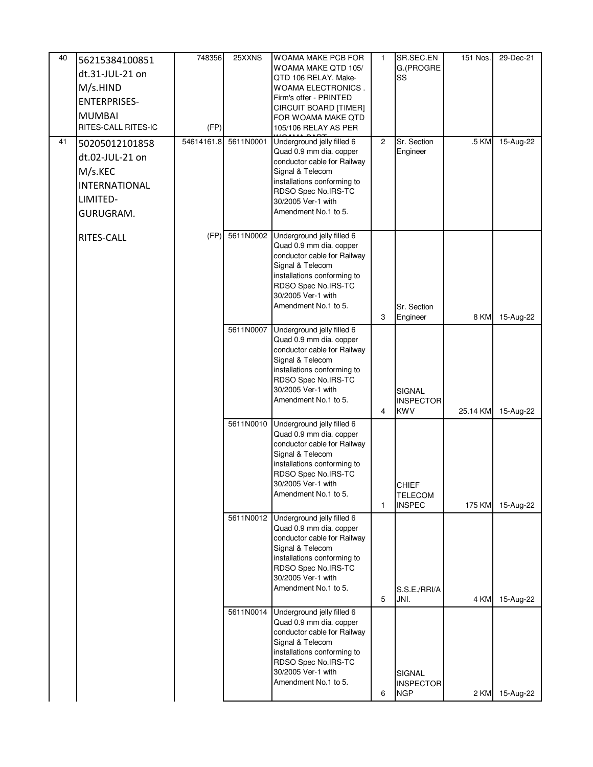| 40 | 56215384100851                       | 748356     | 25XXNS    | <b>WOAMA MAKE PCB FOR</b>                              | $\mathbf{1}$   | SR.SEC.EN                      | 151 Nos. | 29-Dec-21 |
|----|--------------------------------------|------------|-----------|--------------------------------------------------------|----------------|--------------------------------|----------|-----------|
|    | dt.31-JUL-21 on                      |            |           | WOAMA MAKE QTD 105/                                    |                | G.(PROGRE                      |          |           |
|    | M/s.HIND                             |            |           | QTD 106 RELAY. Make-<br><b>WOAMA ELECTRONICS.</b>      |                | SS                             |          |           |
|    | <b>ENTERPRISES-</b>                  |            |           | Firm's offer - PRINTED                                 |                |                                |          |           |
|    |                                      |            |           | CIRCUIT BOARD [TIMER]                                  |                |                                |          |           |
|    | <b>MUMBAI</b><br>RITES-CALL RITES-IC | (FP)       |           | FOR WOAMA MAKE QTD<br>105/106 RELAY AS PER             |                |                                |          |           |
|    |                                      |            |           |                                                        |                |                                |          |           |
| 41 | 50205012101858                       | 54614161.8 | 5611N0001 | Underground jelly filled 6<br>Quad 0.9 mm dia. copper  | $\overline{2}$ | Sr. Section<br>Engineer        | .5 KM    | 15-Aug-22 |
|    | dt.02-JUL-21 on                      |            |           | conductor cable for Railway                            |                |                                |          |           |
|    | M/s.KEC                              |            |           | Signal & Telecom                                       |                |                                |          |           |
|    | <b>INTERNATIONAL</b>                 |            |           | installations conforming to<br>RDSO Spec No.IRS-TC     |                |                                |          |           |
|    | LIMITED-                             |            |           | 30/2005 Ver-1 with                                     |                |                                |          |           |
|    | GURUGRAM.                            |            |           | Amendment No.1 to 5.                                   |                |                                |          |           |
|    |                                      |            |           |                                                        |                |                                |          |           |
|    | RITES-CALL                           | (FP)       | 5611N0002 | Underground jelly filled 6                             |                |                                |          |           |
|    |                                      |            |           | Quad 0.9 mm dia. copper<br>conductor cable for Railway |                |                                |          |           |
|    |                                      |            |           | Signal & Telecom                                       |                |                                |          |           |
|    |                                      |            |           | installations conforming to                            |                |                                |          |           |
|    |                                      |            |           | RDSO Spec No.IRS-TC                                    |                |                                |          |           |
|    |                                      |            |           | 30/2005 Ver-1 with<br>Amendment No.1 to 5.             |                | Sr. Section                    |          |           |
|    |                                      |            |           |                                                        | 3              | Engineer                       | 8 KM     | 15-Aug-22 |
|    |                                      |            | 5611N0007 | Underground jelly filled 6                             |                |                                |          |           |
|    |                                      |            |           | Quad 0.9 mm dia. copper                                |                |                                |          |           |
|    |                                      |            |           | conductor cable for Railway<br>Signal & Telecom        |                |                                |          |           |
|    |                                      |            |           | installations conforming to                            |                |                                |          |           |
|    |                                      |            |           | RDSO Spec No.IRS-TC                                    |                |                                |          |           |
|    |                                      |            |           | 30/2005 Ver-1 with                                     |                | <b>SIGNAL</b>                  |          |           |
|    |                                      |            |           | Amendment No.1 to 5.                                   | 4              | <b>INSPECTOR</b><br><b>KWV</b> | 25.14 KM | 15-Aug-22 |
|    |                                      |            | 5611N0010 | Underground jelly filled 6                             |                |                                |          |           |
|    |                                      |            |           | Quad 0.9 mm dia. copper                                |                |                                |          |           |
|    |                                      |            |           | conductor cable for Railway                            |                |                                |          |           |
|    |                                      |            |           | Signal & Telecom                                       |                |                                |          |           |
|    |                                      |            |           | installations conforming to<br>RDSO Spec No.IRS-TC     |                |                                |          |           |
|    |                                      |            |           | 30/2005 Ver-1 with                                     |                | CHIEF                          |          |           |
|    |                                      |            |           | Amendment No.1 to 5.                                   |                | <b>TELECOM</b>                 |          |           |
|    |                                      |            |           |                                                        | $\mathbf{1}$   | <b>INSPEC</b>                  | 175 KM   | 15-Aug-22 |
|    |                                      |            | 5611N0012 | Underground jelly filled 6<br>Quad 0.9 mm dia. copper  |                |                                |          |           |
|    |                                      |            |           | conductor cable for Railway                            |                |                                |          |           |
|    |                                      |            |           | Signal & Telecom                                       |                |                                |          |           |
|    |                                      |            |           | installations conforming to                            |                |                                |          |           |
|    |                                      |            |           | RDSO Spec No.IRS-TC<br>30/2005 Ver-1 with              |                |                                |          |           |
|    |                                      |            |           | Amendment No.1 to 5.                                   |                | S.S.E./RRI/A                   |          |           |
|    |                                      |            |           |                                                        | 5              | JNI.                           | 4 KM     | 15-Aug-22 |
|    |                                      |            | 5611N0014 | Underground jelly filled 6                             |                |                                |          |           |
|    |                                      |            |           | Quad 0.9 mm dia. copper                                |                |                                |          |           |
|    |                                      |            |           | conductor cable for Railway<br>Signal & Telecom        |                |                                |          |           |
|    |                                      |            |           | installations conforming to                            |                |                                |          |           |
|    |                                      |            |           | RDSO Spec No.IRS-TC                                    |                |                                |          |           |
|    |                                      |            |           | 30/2005 Ver-1 with                                     |                | SIGNAL                         |          |           |
|    |                                      |            |           | Amendment No.1 to 5.                                   | 6              | <b>INSPECTOR</b><br><b>NGP</b> | 2 KM     | 15-Aug-22 |
|    |                                      |            |           |                                                        |                |                                |          |           |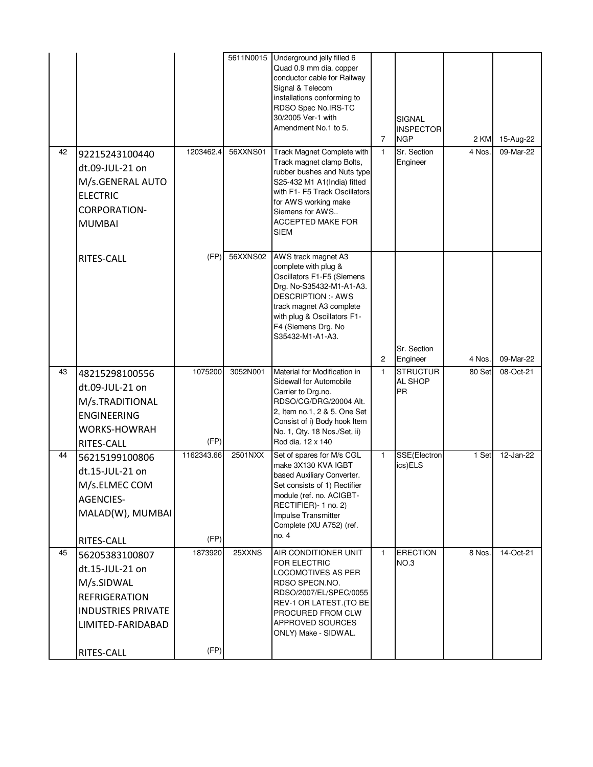|    |                                                                                                                  |            | 5611N0015 | Underground jelly filled 6<br>Quad 0.9 mm dia. copper<br>conductor cable for Railway<br>Signal & Telecom<br>installations conforming to<br>RDSO Spec No.IRS-TC<br>30/2005 Ver-1 with<br>Amendment No.1 to 5.                            | $\overline{7}$ | <b>SIGNAL</b><br><b>INSPECTOR</b><br><b>NGP</b> | 2 KM   | 15-Aug-22 |
|----|------------------------------------------------------------------------------------------------------------------|------------|-----------|-----------------------------------------------------------------------------------------------------------------------------------------------------------------------------------------------------------------------------------------|----------------|-------------------------------------------------|--------|-----------|
| 42 | 92215243100440<br>dt.09-JUL-21 on<br>M/s.GENERAL AUTO<br><b>ELECTRIC</b><br><b>CORPORATION-</b><br><b>MUMBAI</b> | 1203462.4  | 56XXNS01  | Track Magnet Complete with<br>Track magnet clamp Bolts,<br>rubber bushes and Nuts type<br>S25-432 M1 A1(India) fitted<br>with F1- F5 Track Oscillators<br>for AWS working make<br>Siemens for AWS<br>ACCEPTED MAKE FOR<br><b>SIEM</b>   | $\mathbf{1}$   | Sr. Section<br>Engineer                         | 4 Nos. | 09-Mar-22 |
|    | RITES-CALL                                                                                                       | (FP)       | 56XXNS02  | AWS track magnet A3<br>complete with plug &<br>Oscillators F1-F5 (Siemens<br>Drg. No-S35432-M1-A1-A3.<br><b>DESCRIPTION:- AWS</b><br>track magnet A3 complete<br>with plug & Oscillators F1-<br>F4 (Siemens Drg. No<br>S35432-M1-A1-A3. | $\overline{c}$ | Sr. Section<br>Engineer                         | 4 Nos. | 09-Mar-22 |
| 43 | 48215298100556                                                                                                   | 1075200    | 3052N001  | Material for Modification in                                                                                                                                                                                                            | $\mathbf{1}$   | <b>STRUCTUR</b>                                 | 80 Set | 08-Oct-21 |
|    | dt.09-JUL-21 on<br>M/s.TRADITIONAL<br><b>ENGINEERING</b><br><b>WORKS-HOWRAH</b><br>RITES-CALL                    | (FP)       |           | Sidewall for Automobile<br>Carrier to Drg.no.<br>RDSO/CG/DRG/20004 Alt.<br>2, Item no.1, 2 & 5. One Set<br>Consist of i) Body hook Item<br>No. 1, Qty. 18 Nos./Set, ii)<br>Rod dia. 12 x 140                                            |                | <b>AL SHOP</b><br>PR                            |        |           |
| 44 | 56215199100806                                                                                                   | 1162343.66 | 2501NXX   | Set of spares for M/s CGL<br>make 3X130 KVA IGBT                                                                                                                                                                                        | $\mathbf{1}$   | SSE(Electron<br>ics)ELS                         | 1 Set  | 12-Jan-22 |
|    | dt.15-JUL-21 on<br>M/s.ELMEC COM                                                                                 |            |           | based Auxiliary Converter.<br>Set consists of 1) Rectifier                                                                                                                                                                              |                |                                                 |        |           |
|    | <b>AGENCIES-</b>                                                                                                 |            |           | module (ref. no. ACIGBT-                                                                                                                                                                                                                |                |                                                 |        |           |
|    | MALAD(W), MUMBAI                                                                                                 |            |           | RECTIFIER)- 1 no. 2)<br>Impulse Transmitter<br>Complete (XU A752) (ref.<br>no. 4                                                                                                                                                        |                |                                                 |        |           |
|    | RITES-CALL                                                                                                       | (FP)       |           |                                                                                                                                                                                                                                         |                |                                                 |        |           |
| 45 | 56205383100807                                                                                                   | 1873920    | 25XXNS    | AIR CONDITIONER UNIT<br>FOR ELECTRIC                                                                                                                                                                                                    | $\mathbf{1}$   | <b>ERECTION</b><br>NO.3                         | 8 Nos. | 14-Oct-21 |
|    | dt.15-JUL-21 on<br>M/s.SIDWAL                                                                                    |            |           | LOCOMOTIVES AS PER<br>RDSO SPECN.NO.                                                                                                                                                                                                    |                |                                                 |        |           |
|    | <b>REFRIGERATION</b>                                                                                             |            |           | RDSO/2007/EL/SPEC/0055                                                                                                                                                                                                                  |                |                                                 |        |           |
|    | <b>INDUSTRIES PRIVATE</b>                                                                                        |            |           | REV-1 OR LATEST. (TO BE<br>PROCURED FROM CLW                                                                                                                                                                                            |                |                                                 |        |           |
|    | LIMITED-FARIDABAD                                                                                                |            |           | APPROVED SOURCES<br>ONLY) Make - SIDWAL.                                                                                                                                                                                                |                |                                                 |        |           |
|    | RITES-CALL                                                                                                       | (FP)       |           |                                                                                                                                                                                                                                         |                |                                                 |        |           |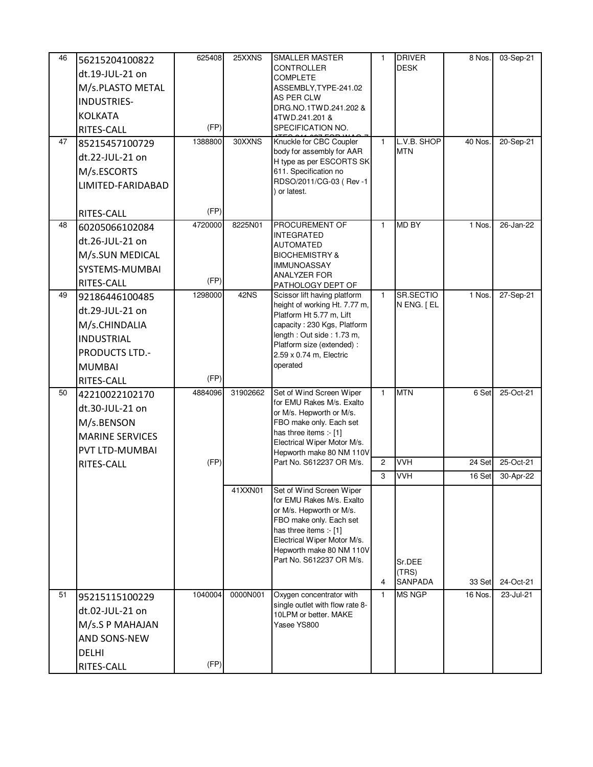| 46<br>47 | 56215204100822<br>dt.19-JUL-21 on<br>M/s.PLASTO METAL<br><b>INDUSTRIES-</b><br><b>KOLKATA</b><br>RITES-CALL<br>85215457100729<br>dt.22-JUL-21 on<br>M/s.ESCORTS<br>LIMITED-FARIDABAD | 625408<br>(FP)<br>1388800 | 25XXNS<br>30XXNS | SMALLER MASTER<br>CONTROLLER<br><b>COMPLETE</b><br>ASSEMBLY, TYPE-241.02<br>AS PER CLW<br>DRG.NO.1TWD.241.202 &<br>4TWD.241.201 &<br>SPECIFICATION NO.<br>Knuckle for CBC Coupler<br>body for assembly for AAR<br>H type as per ESCORTS SK<br>611. Specification no<br>RDSO/2011/CG-03 (Rev-1 | 1<br>$\mathbf{1}$   | <b>DRIVER</b><br><b>DESK</b><br>L.V.B. SHOP<br><b>MTN</b> | 8 Nos.<br>40 Nos | 03-Sep-21<br>20-Sep-21 |
|----------|--------------------------------------------------------------------------------------------------------------------------------------------------------------------------------------|---------------------------|------------------|-----------------------------------------------------------------------------------------------------------------------------------------------------------------------------------------------------------------------------------------------------------------------------------------------|---------------------|-----------------------------------------------------------|------------------|------------------------|
|          | RITES-CALL                                                                                                                                                                           | (FP)                      |                  | or latest.                                                                                                                                                                                                                                                                                    |                     |                                                           |                  |                        |
| 48       | 60205066102084<br>dt.26-JUL-21 on<br>M/s.SUN MEDICAL<br>SYSTEMS-MUMBAI<br>RITES-CALL                                                                                                 | 4720000<br>(FP)           | 8225N01          | PROCUREMENT OF<br>INTEGRATED<br>AUTOMATED<br><b>BIOCHEMISTRY &amp;</b><br><b>IMMUNOASSAY</b><br><b>ANALYZER FOR</b><br>PATHOLOGY DEPT OF                                                                                                                                                      | 1                   | <b>MD BY</b>                                              | 1 Nos.           | 26-Jan-22              |
| 49       | 92186446100485<br>dt.29-JUL-21 on<br>M/s.CHINDALIA<br><b>INDUSTRIAL</b><br><b>PRODUCTS LTD.-</b><br><b>MUMBAI</b><br>RITES-CALL                                                      | 1298000<br>(FP)           | 42NS             | Scissor lift having platform<br>height of working Ht. 7.77 m,<br>Platform Ht 5.77 m, Lift<br>capacity: 230 Kgs, Platform<br>length: Out side: 1.73 m,<br>Platform size (extended) :<br>2.59 x 0.74 m, Electric<br>operated                                                                    | $\mathbf{1}$        | SR.SECTIO<br>N ENG. [EL                                   | 1 Nos.           | 27-Sep-21              |
| 50       | 42210022102170<br>dt.30-JUL-21 on<br>M/s.BENSON<br><b>MARINE SERVICES</b><br><b>PVT LTD-MUMBAI</b>                                                                                   | 4884096                   | 31902662         | Set of Wind Screen Wiper<br>for EMU Rakes M/s. Exalto<br>or M/s. Hepworth or M/s.<br>FBO make only. Each set<br>has three items :- [1]<br>Electrical Wiper Motor M/s.<br>Hepworth make 80 NM 110V<br>Part No. S612237 OR M/s.                                                                 | $\mathbf{1}$        | <b>MTN</b><br><b>VVH</b>                                  | 6 Set            | 25-Oct-21<br>25-Oct-21 |
|          | RITES-CALL                                                                                                                                                                           | (FP)                      |                  |                                                                                                                                                                                                                                                                                               | $\overline{c}$<br>3 | <b>VVH</b>                                                | 24 Set<br>16 Set | 30-Apr-22              |
|          |                                                                                                                                                                                      |                           | 41XXN01          | Set of Wind Screen Wiper<br>for EMU Rakes M/s. Exalto<br>or M/s. Hepworth or M/s.<br>FBO make only. Each set<br>has three items :- [1]<br>Electrical Wiper Motor M/s.<br>Hepworth make 80 NM 110V<br>Part No. S612237 OR M/s.                                                                 | 4                   | Sr.DEE<br>(TRS)<br>SANPADA                                | 33 Set           | 24-Oct-21              |
| 51       | 95215115100229<br>dt.02-JUL-21 on<br>M/s.S P MAHAJAN<br><b>AND SONS-NEW</b><br><b>DELHI</b><br>RITES-CALL                                                                            | 1040004<br>(FP)           | 0000N001         | Oxygen concentrator with<br>single outlet with flow rate 8-<br>10LPM or better. MAKE<br>Yasee YS800                                                                                                                                                                                           | $\mathbf{1}$        | <b>MS NGP</b>                                             | 16 Nos.          | 23-Jul-21              |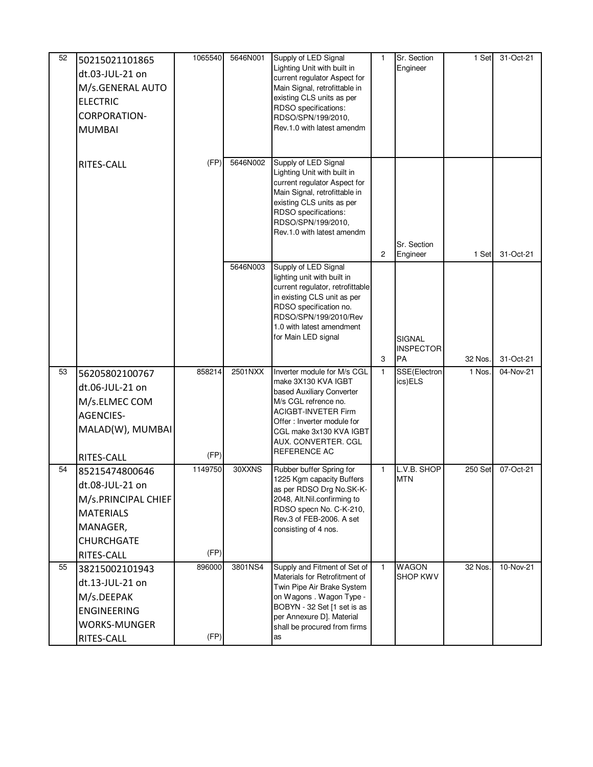| 52 | 50215021101865<br>dt.03-JUL-21 on<br>M/s.GENERAL AUTO<br><b>ELECTRIC</b><br><b>CORPORATION-</b><br><b>MUMBAI</b>            | 1065540         | 5646N001 | Supply of LED Signal<br>Lighting Unit with built in<br>current regulator Aspect for<br>Main Signal, retrofittable in<br>existing CLS units as per<br>RDSO specifications:<br>RDSO/SPN/199/2010,<br>Rev.1.0 with latest amendm         | 1                   | Sr. Section<br>Engineer                                     | 1 Set            | 31-Oct-21              |
|----|-----------------------------------------------------------------------------------------------------------------------------|-----------------|----------|---------------------------------------------------------------------------------------------------------------------------------------------------------------------------------------------------------------------------------------|---------------------|-------------------------------------------------------------|------------------|------------------------|
|    | RITES-CALL                                                                                                                  | (FP)            | 5646N002 | Supply of LED Signal<br>Lighting Unit with built in<br>current regulator Aspect for<br>Main Signal, retrofittable in<br>existing CLS units as per<br>RDSO specifications:<br>RDSO/SPN/199/2010,<br>Rev.1.0 with latest amendm         |                     | Sr. Section                                                 |                  |                        |
|    |                                                                                                                             |                 | 5646N003 | Supply of LED Signal<br>lighting unit with built in<br>current regulator, retrofittable<br>in existing CLS unit as per<br>RDSO specification no.<br>RDSO/SPN/199/2010/Rev<br>1.0 with latest amendment<br>for Main LED signal         | $\overline{c}$<br>3 | Engineer<br><b>SIGNAL</b><br><b>INSPECTOR</b><br><b>IPA</b> | 1 Set<br>32 Nos. | 31-Oct-21<br>31-Oct-21 |
| 53 | 56205802100767<br>dt.06-JUL-21 on<br>M/s.ELMEC COM<br><b>AGENCIES-</b><br>MALAD(W), MUMBAI<br>RITES-CALL                    | 858214<br>(FP)  | 2501NXX  | Inverter module for M/s CGL<br>make 3X130 KVA IGBT<br>based Auxiliary Converter<br>M/s CGL refrence no.<br><b>ACIGBT-INVETER Firm</b><br>Offer: Inverter module for<br>CGL make 3x130 KVA IGBT<br>AUX. CONVERTER. CGL<br>REFERENCE AC | 1                   | SSE(Electron<br>ics)ELS                                     | 1 Nos.           | 04-Nov-21              |
| 54 | 85215474800646<br>dt.08-JUL-21 on<br>M/s.PRINCIPAL CHIEF<br><b>MATERIALS</b><br>MANAGER,<br><b>CHURCHGATE</b><br>RITES-CALL | 1149750<br>(FP) | 30XXNS   | Rubber buffer Spring for<br>1225 Kgm capacity Buffers<br>as per RDSO Drg No.SK-K-<br>2048, Alt.Nil.confirming to<br>RDSO specn No. C-K-210,<br>Rev.3 of FEB-2006. A set<br>consisting of 4 nos.                                       | 1                   | L.V.B. SHOP<br><b>MTN</b>                                   | 250 Set          | 07-Oct-21              |
| 55 | 38215002101943<br>dt.13-JUL-21 on<br>M/s.DEEPAK<br><b>ENGINEERING</b><br><b>WORKS-MUNGER</b><br>RITES-CALL                  | 896000<br>(FP)  | 3801NS4  | Supply and Fitment of Set of<br>Materials for Retrofitment of<br>Twin Pipe Air Brake System<br>on Wagons . Wagon Type -<br>BOBYN - 32 Set [1 set is as<br>per Annexure D]. Material<br>shall be procured from firms<br>as             | $\mathbf{1}$        | <b>WAGON</b><br><b>SHOP KWV</b>                             | 32 Nos.          | 10-Nov-21              |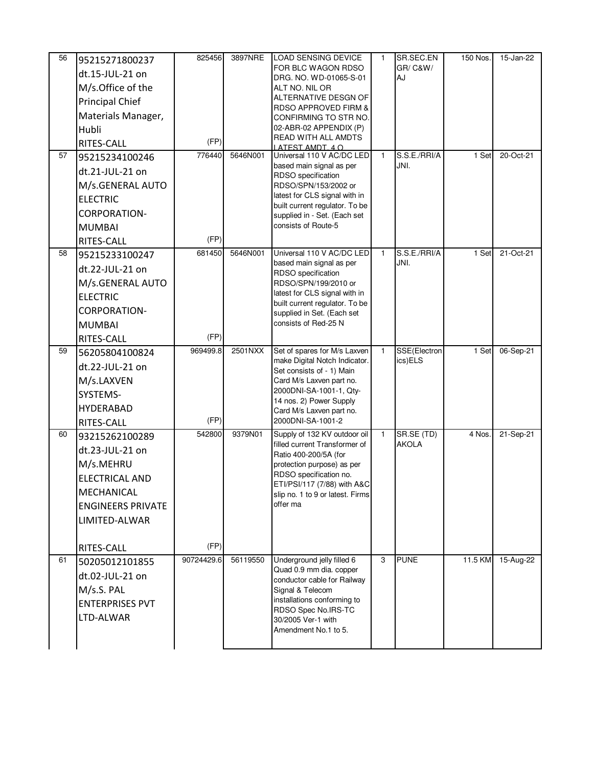| 56 | 95215271800237           | 825456     | 3897NRE  | <b>LOAD SENSING DEVICE</b>                                      | 1            | SR.SEC.EN                  | 150 Nos. | 15-Jan-22 |
|----|--------------------------|------------|----------|-----------------------------------------------------------------|--------------|----------------------------|----------|-----------|
|    | dt.15-JUL-21 on          |            |          | FOR BLC WAGON RDSO                                              |              | GR/C&W/                    |          |           |
|    | M/s.Office of the        |            |          | DRG. NO. WD-01065-S-01<br>ALT NO. NIL OR                        |              | AJ                         |          |           |
|    | Principal Chief          |            |          | ALTERNATIVE DESGN OF                                            |              |                            |          |           |
|    | Materials Manager,       |            |          | RDSO APPROVED FIRM &                                            |              |                            |          |           |
|    | Hubli                    |            |          | CONFIRMING TO STR NO.<br>02-ABR-02 APPENDIX (P)                 |              |                            |          |           |
|    | RITES-CALL               | (FP)       |          | READ WITH ALL AMDTS                                             |              |                            |          |           |
| 57 | 95215234100246           | 776440     | 5646N001 | LATEST AMDT, 4 O<br>Universal 110 V AC/DC LED                   | 1            | S.S.E./RRI/A               | 1 Set    | 20-Oct-21 |
|    |                          |            |          | based main signal as per                                        |              | JNI.                       |          |           |
|    | dt.21-JUL-21 on          |            |          | RDSO specification                                              |              |                            |          |           |
|    | M/s.GENERAL AUTO         |            |          | RDSO/SPN/153/2002 or<br>latest for CLS signal with in           |              |                            |          |           |
|    | <b>ELECTRIC</b>          |            |          | built current regulator. To be                                  |              |                            |          |           |
|    | CORPORATION-             |            |          | supplied in - Set. (Each set                                    |              |                            |          |           |
|    | <b>MUMBAI</b>            |            |          | consists of Route-5                                             |              |                            |          |           |
|    | RITES-CALL               | (FP)       |          |                                                                 |              |                            |          |           |
| 58 | 95215233100247           | 681450     | 5646N001 | Universal 110 V AC/DC LED<br>based main signal as per           | $\mathbf{1}$ | S.S.E./RRI/A<br>JNI.       | 1 Set    | 21-Oct-21 |
|    | dt.22-JUL-21 on          |            |          | RDSO specification                                              |              |                            |          |           |
|    | M/s.GENERAL AUTO         |            |          | RDSO/SPN/199/2010 or                                            |              |                            |          |           |
|    | <b>ELECTRIC</b>          |            |          | latest for CLS signal with in<br>built current regulator. To be |              |                            |          |           |
|    | CORPORATION-             |            |          | supplied in Set. (Each set                                      |              |                            |          |           |
|    | <b>MUMBAI</b>            |            |          | consists of Red-25 N                                            |              |                            |          |           |
|    | RITES-CALL               | (FP)       |          |                                                                 |              |                            |          |           |
| 59 | 56205804100824           | 969499.8   | 2501NXX  | Set of spares for M/s Laxven<br>make Digital Notch Indicator.   | $\mathbf{1}$ | SSE(Electron<br>ics)ELS    | 1 Set    | 06-Sep-21 |
|    | dt.22-JUL-21 on          |            |          | Set consists of - 1) Main                                       |              |                            |          |           |
|    | M/s.LAXVEN               |            |          | Card M/s Laxven part no.                                        |              |                            |          |           |
|    | SYSTEMS-                 |            |          | 2000DNI-SA-1001-1, Qty-<br>14 nos. 2) Power Supply              |              |                            |          |           |
|    | <b>HYDERABAD</b>         |            |          | Card M/s Laxven part no.                                        |              |                            |          |           |
|    | RITES-CALL               | (FP)       |          | 2000DNI-SA-1001-2                                               |              |                            |          |           |
| 60 | 93215262100289           | 542800     | 9379N01  | Supply of 132 KV outdoor oil<br>filled current Transformer of   | $\mathbf{1}$ | SR.SE (TD)<br><b>AKOLA</b> | 4 Nos.   | 21-Sep-21 |
|    | dt.23-JUL-21 on          |            |          | Ratio 400-200/5A (for                                           |              |                            |          |           |
|    | M/s.MEHRU                |            |          | protection purpose) as per                                      |              |                            |          |           |
|    | <b>ELECTRICAL AND</b>    |            |          | RDSO specification no.<br>ETI/PSI/117 (7/88) with A&C           |              |                            |          |           |
|    | MECHANICAL               |            |          | slip no. 1 to 9 or latest. Firms                                |              |                            |          |           |
|    | <b>ENGINEERS PRIVATE</b> |            |          | offer ma                                                        |              |                            |          |           |
|    | LIMITED-ALWAR            |            |          |                                                                 |              |                            |          |           |
|    |                          |            |          |                                                                 |              |                            |          |           |
|    | RITES-CALL               | (FP)       |          |                                                                 |              |                            |          |           |
| 61 | 50205012101855           | 90724429.6 | 56119550 | Underground jelly filled 6                                      | 3            | <b>PUNE</b>                | 11.5 KM  | 15-Aug-22 |
|    | dt.02-JUL-21 on          |            |          | Quad 0.9 mm dia. copper<br>conductor cable for Railway          |              |                            |          |           |
|    | M/s.S. PAL               |            |          | Signal & Telecom                                                |              |                            |          |           |
|    | <b>ENTERPRISES PVT</b>   |            |          | installations conforming to                                     |              |                            |          |           |
|    | LTD-ALWAR                |            |          | RDSO Spec No.IRS-TC<br>30/2005 Ver-1 with                       |              |                            |          |           |
|    |                          |            |          | Amendment No.1 to 5.                                            |              |                            |          |           |
|    |                          |            |          |                                                                 |              |                            |          |           |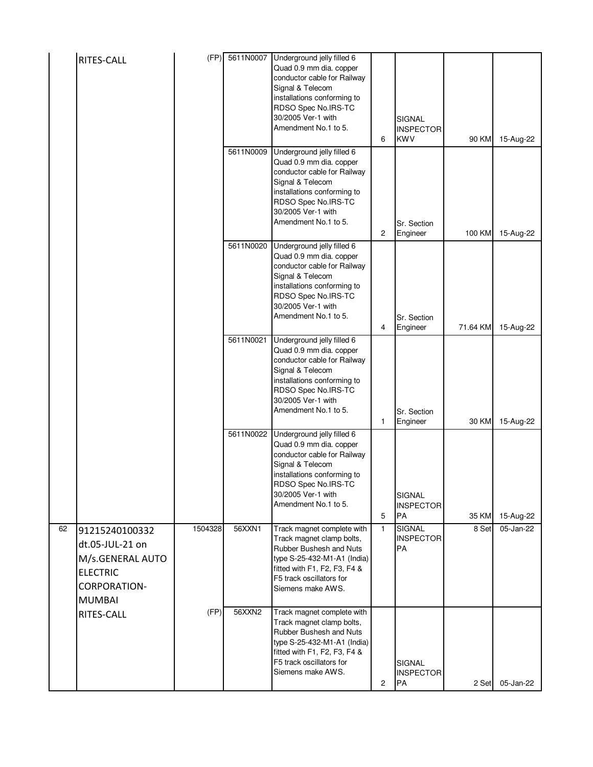|    | RITES-CALL                                                                                                | (FP)    | 5611N0007 | Underground jelly filled 6<br>Quad 0.9 mm dia. copper<br>conductor cable for Railway<br>Signal & Telecom<br>installations conforming to<br>RDSO Spec No.IRS-TC<br>30/2005 Ver-1 with<br>Amendment No.1 to 5.        | 6              | <b>SIGNAL</b><br><b>INSPECTOR</b><br><b>KWV</b> | 90 KM    | 15-Aug-22 |
|----|-----------------------------------------------------------------------------------------------------------|---------|-----------|---------------------------------------------------------------------------------------------------------------------------------------------------------------------------------------------------------------------|----------------|-------------------------------------------------|----------|-----------|
|    |                                                                                                           |         | 5611N0009 | Underground jelly filled 6<br>Quad 0.9 mm dia. copper<br>conductor cable for Railway<br>Signal & Telecom<br>installations conforming to<br>RDSO Spec No.IRS-TC<br>30/2005 Ver-1 with<br>Amendment No.1 to 5.        | $\overline{c}$ | Sr. Section<br>Engineer                         | 100 KM   | 15-Aug-22 |
|    |                                                                                                           |         | 5611N0020 | Underground jelly filled 6<br>Quad 0.9 mm dia. copper<br>conductor cable for Railway<br>Signal & Telecom<br>installations conforming to<br>RDSO Spec No.IRS-TC<br>30/2005 Ver-1 with<br>Amendment No.1 to 5.        | 4              | Sr. Section<br>Engineer                         | 71.64 KM | 15-Aug-22 |
|    |                                                                                                           |         | 5611N0021 | Underground jelly filled 6<br>Quad 0.9 mm dia. copper<br>conductor cable for Railway<br>Signal & Telecom<br>installations conforming to<br>RDSO Spec No.IRS-TC<br>30/2005 Ver-1 with<br>Amendment No.1 to 5.        | 1              | Sr. Section<br>Engineer                         | 30 KM    | 15-Aug-22 |
|    |                                                                                                           |         | 5611N0022 | Underground jelly filled 6<br>Quad 0.9 mm dia. copper<br>conductor cable for Railway<br>Signal & Telecom<br>installations conforming to<br><b>HDSO Spec No.IRS-TC</b><br>30/2005 Ver-1 with<br>Amendment No.1 to 5. | 5              | <b>SIGNAL</b><br><b>INSPECTOR</b><br><b>PA</b>  | 35 KM    | 15-Aug-22 |
| 62 | 91215240100332<br>dt.05-JUL-21 on<br>M/s.GENERAL AUTO<br><b>ELECTRIC</b><br>CORPORATION-<br><b>MUMBAI</b> | 1504328 | 56XXN1    | Track magnet complete with<br>Track magnet clamp bolts,<br>Rubber Bushesh and Nuts<br>type S-25-432-M1-A1 (India)<br>fitted with F1, F2, F3, F4 &<br>F5 track oscillators for<br>Siemens make AWS.                  | $\mathbf{1}$   | <b>SIGNAL</b><br><b>INSPECTOR</b><br>PA         | 8 Set    | 05-Jan-22 |
|    | RITES-CALL                                                                                                | (FP)    | 56XXN2    | Track magnet complete with<br>Track magnet clamp bolts,<br>Rubber Bushesh and Nuts<br>type S-25-432-M1-A1 (India)<br>fitted with F1, F2, F3, F4 &<br>F5 track oscillators for<br>Siemens make AWS.                  | $\overline{c}$ | <b>SIGNAL</b><br><b>INSPECTOR</b><br>PA         | 2 Set    | 05-Jan-22 |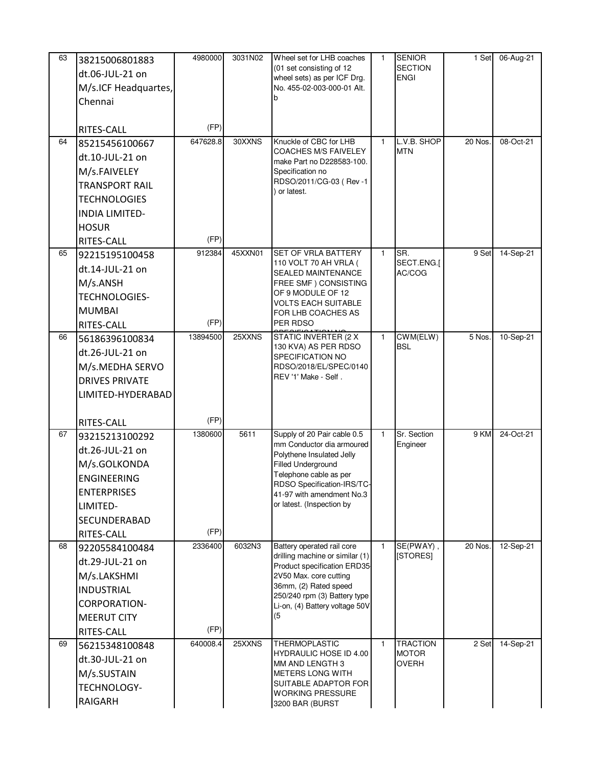| 63 | 38215006801883<br>dt.06-JUL-21 on<br>M/s.ICF Headquartes,<br>Chennai                                                                                     | 4980000          | 3031N02 | Wheel set for LHB coaches<br>(01 set consisting of 12<br>wheel sets) as per ICF Drg.<br>No. 455-02-003-000-01 Alt.                                                                                                                   | 1.           | <b>SENIOR</b><br><b>SECTION</b><br><b>ENGI</b>  | 1 Set   | 06-Aug-21 |
|----|----------------------------------------------------------------------------------------------------------------------------------------------------------|------------------|---------|--------------------------------------------------------------------------------------------------------------------------------------------------------------------------------------------------------------------------------------|--------------|-------------------------------------------------|---------|-----------|
|    | RITES-CALL                                                                                                                                               | (FP)             |         |                                                                                                                                                                                                                                      |              |                                                 |         |           |
| 64 | 85215456100667<br>dt.10-JUL-21 on<br>M/s.FAIVELEY<br><b>TRANSPORT RAIL</b><br><b>TECHNOLOGIES</b><br><b>INDIA LIMITED-</b><br><b>HOSUR</b><br>RITES-CALL | 647628.8<br>(FP) | 30XXNS  | Knuckle of CBC for LHB<br><b>COACHES M/S FAIVELEY</b><br>make Part no D228583-100.<br>Specification no<br>RDSO/2011/CG-03 (Rev-1<br>or latest.                                                                                       | $\mathbf{1}$ | L.V.B. SHOP<br><b>MTN</b>                       | 20 Nos  | 08-Oct-21 |
| 65 | 92215195100458<br>dt.14-JUL-21 on<br>M/s.ANSH<br><b>TECHNOLOGIES-</b><br><b>MUMBAI</b><br>RITES-CALL                                                     | 912384<br>(FP)   | 45XXN01 | <b>SET OF VRLA BATTERY</b><br>110 VOLT 70 AH VRLA (<br><b>SEALED MAINTENANCE</b><br>FREE SMF) CONSISTING<br>OF 9 MODULE OF 12<br><b>VOLTS EACH SUITABLE</b><br>FOR LHB COACHES AS<br>PER RDSO                                        | $\mathbf{1}$ | SR.<br>SECT.ENG.[<br>AC/COG                     | 9 Set   | 14-Sep-21 |
| 66 | 56186396100834<br>dt.26-JUL-21 on<br>M/s.MEDHA SERVO<br><b>DRIVES PRIVATE</b><br>LIMITED-HYDERABAD                                                       | 13894500<br>(FP) | 25XXNS  | <b>STATIC INVERTER (2 X</b><br>130 KVA) AS PER RDSO<br>SPECIFICATION NO<br>RDSO/2018/EL/SPEC/0140<br>REV '1' Make - Self.                                                                                                            | $\mathbf{1}$ | CWM(ELW)<br><b>BSL</b>                          | 5 Nos.  | 10-Sep-21 |
| 67 | RITES-CALL<br>93215213100292<br>dt.26-JUL-21 on<br>M/s.GOLKONDA<br><b>ENGINEERING</b><br><b>ENTERPRISES</b><br>LIMITED-<br>SECUNDERABAD<br>RITES-CALL    | 1380600<br>(FP)  | 5611    | Supply of 20 Pair cable 0.5<br>mm Conductor dia armoured<br>Polythene Insulated Jelly<br><b>Filled Underground</b><br>Telephone cable as per<br>RDSO Specification-IRS/TC-<br>41-97 with amendment No.3<br>or latest. (Inspection by | $\mathbf{1}$ | Sr. Section<br>Engineer                         | 9 KM    | 24-Oct-21 |
| 68 | 92205584100484<br>dt.29-JUL-21 on<br>M/s.LAKSHMI<br>INDUSTRIAL<br>CORPORATION-<br><b>MEERUT CITY</b><br>RITES-CALL                                       | 2336400<br>(FP)  | 6032N3  | Battery operated rail core<br>drilling machine or similar (1)<br>Product specification ERD35<br>2V50 Max. core cutting<br>36mm, (2) Rated speed<br>250/240 rpm (3) Battery type<br>Li-on, (4) Battery voltage 50V<br>(5)             | $\mathbf{1}$ | SE(PWAY),<br>[STORES]                           | 20 Nos. | 12-Sep-21 |
| 69 | 56215348100848<br>dt.30-JUL-21 on<br>M/s.SUSTAIN<br>TECHNOLOGY-<br>RAIGARH                                                                               | 640008.4         | 25XXNS  | THERMOPLASTIC<br><b>HYDRAULIC HOSE ID 4.00</b><br>MM AND LENGTH 3<br>METERS LONG WITH<br>SUITABLE ADAPTOR FOR<br><b>WORKING PRESSURE</b><br>3200 BAR (BURST                                                                          | $\mathbf{1}$ | <b>TRACTION</b><br><b>MOTOR</b><br><b>OVERH</b> | 2 Set   | 14-Sep-21 |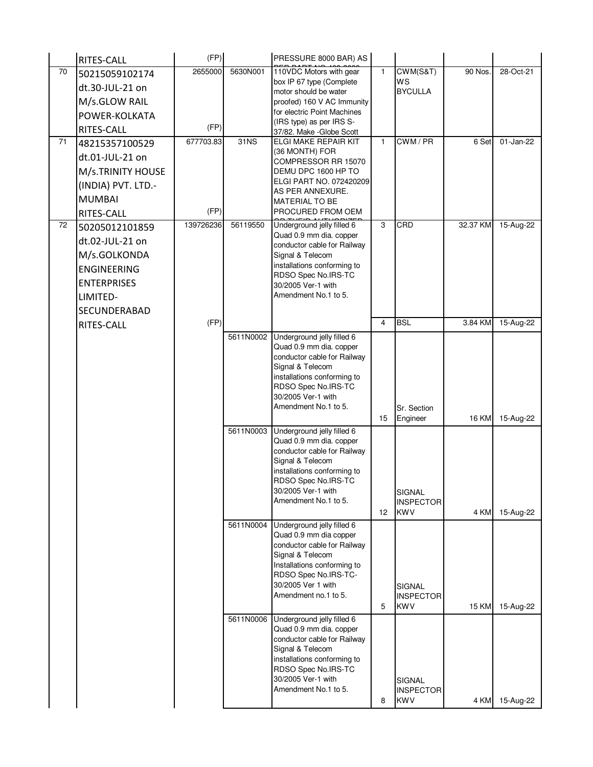|    | RITES-CALL          | (FP)      |           | PRESSURE 8000 BAR) AS                                  |                 |                                |              |           |
|----|---------------------|-----------|-----------|--------------------------------------------------------|-----------------|--------------------------------|--------------|-----------|
| 70 | 50215059102174      | 2655000   | 5630N001  | 110VDC Motors with gear                                | 1               | CWM(S&T)                       | 90 Nos.      | 28-Oct-21 |
|    | dt.30-JUL-21 on     |           |           | box IP 67 type (Complete                               |                 | WS                             |              |           |
|    | M/s.GLOW RAIL       |           |           | motor should be water<br>proofed) 160 V AC Immunity    |                 | <b>BYCULLA</b>                 |              |           |
|    | POWER-KOLKATA       |           |           | for electric Point Machines                            |                 |                                |              |           |
|    | RITES-CALL          | (FP)      |           | (IRS type) as per IRS S-                               |                 |                                |              |           |
| 71 | 48215357100529      | 677703.83 | 31NS      | 37/82. Make - Globe Scott<br>ELGI MAKE REPAIR KIT      | 1               | CWM/PR                         | 6 Set        | 01-Jan-22 |
|    |                     |           |           | (36 MONTH) FOR                                         |                 |                                |              |           |
|    | dt.01-JUL-21 on     |           |           | COMPRESSOR RR 15070                                    |                 |                                |              |           |
|    | M/s.TRINITY HOUSE   |           |           | DEMU DPC 1600 HP TO<br>ELGI PART NO. 072420209         |                 |                                |              |           |
|    | (INDIA) PVT. LTD.-  |           |           | AS PER ANNEXURE.                                       |                 |                                |              |           |
|    | <b>MUMBAI</b>       |           |           | <b>MATERIAL TO BE</b>                                  |                 |                                |              |           |
|    | RITES-CALL          | (FP)      |           | PROCURED FROM OEM                                      |                 |                                |              |           |
| 72 | 50205012101859      | 139726236 | 56119550  | Underground jelly filled 6                             | 3               | CRD                            | 32.37 KM     | 15-Aug-22 |
|    | dt.02-JUL-21 on     |           |           | Quad 0.9 mm dia. copper<br>conductor cable for Railway |                 |                                |              |           |
|    | M/s.GOLKONDA        |           |           | Signal & Telecom                                       |                 |                                |              |           |
|    | <b>ENGINEERING</b>  |           |           | installations conforming to                            |                 |                                |              |           |
|    | <b>ENTERPRISES</b>  |           |           | RDSO Spec No.IRS-TC<br>30/2005 Ver-1 with              |                 |                                |              |           |
|    | LIMITED-            |           |           | Amendment No.1 to 5.                                   |                 |                                |              |           |
|    | <b>SECUNDERABAD</b> |           |           |                                                        |                 |                                |              |           |
|    | RITES-CALL          | (FP)      |           |                                                        | 4               | <b>BSL</b>                     | 3.84 KM      | 15-Aug-22 |
|    |                     |           | 5611N0002 | Underground jelly filled 6                             |                 |                                |              |           |
|    |                     |           |           | Quad 0.9 mm dia. copper                                |                 |                                |              |           |
|    |                     |           |           | conductor cable for Railway                            |                 |                                |              |           |
|    |                     |           |           | Signal & Telecom                                       |                 |                                |              |           |
|    |                     |           |           | installations conforming to<br>RDSO Spec No.IRS-TC     |                 |                                |              |           |
|    |                     |           |           | 30/2005 Ver-1 with                                     |                 |                                |              |           |
|    |                     |           |           | Amendment No.1 to 5.                                   |                 | Sr. Section                    |              |           |
|    |                     |           |           |                                                        | 15              | Engineer                       | <b>16 KM</b> | 15-Aug-22 |
|    |                     |           | 5611N0003 | Underground jelly filled 6<br>Quad 0.9 mm dia. copper  |                 |                                |              |           |
|    |                     |           |           | conductor cable for Railway                            |                 |                                |              |           |
|    |                     |           |           | Signal & Telecom                                       |                 |                                |              |           |
|    |                     |           |           | installations conforming to                            |                 |                                |              |           |
|    |                     |           |           | RDSO Spec No.IRS-TC<br>30/2005 Ver-1 with              |                 | <b>SIGNAL</b>                  |              |           |
|    |                     |           |           | Amendment No.1 to 5.                                   |                 | <b>INSPECTOR</b>               |              |           |
|    |                     |           |           |                                                        | 12 <sup>2</sup> | <b>KWV</b>                     | 4 KM         | 15-Aug-22 |
|    |                     |           | 5611N0004 | Underground jelly filled 6                             |                 |                                |              |           |
|    |                     |           |           | Quad 0.9 mm dia copper                                 |                 |                                |              |           |
|    |                     |           |           | conductor cable for Railway<br>Signal & Telecom        |                 |                                |              |           |
|    |                     |           |           | Installations conforming to                            |                 |                                |              |           |
|    |                     |           |           | RDSO Spec No.IRS-TC-                                   |                 |                                |              |           |
|    |                     |           |           | 30/2005 Ver 1 with<br>Amendment no.1 to 5.             |                 | <b>SIGNAL</b>                  |              |           |
|    |                     |           |           |                                                        | 5               | <b>INSPECTOR</b><br><b>KWV</b> | 15 KM        | 15-Aug-22 |
|    |                     |           | 5611N0006 | Underground jelly filled 6                             |                 |                                |              |           |
|    |                     |           |           | Quad 0.9 mm dia. copper                                |                 |                                |              |           |
|    |                     |           |           | conductor cable for Railway                            |                 |                                |              |           |
|    |                     |           |           | Signal & Telecom<br>installations conforming to        |                 |                                |              |           |
|    |                     |           |           | RDSO Spec No.IRS-TC                                    |                 |                                |              |           |
|    |                     |           |           | 30/2005 Ver-1 with                                     |                 | SIGNAL                         |              |           |
|    |                     |           |           | Amendment No.1 to 5.                                   |                 | <b>INSPECTOR</b>               |              |           |
|    |                     |           |           |                                                        | 8               | <b>KWV</b>                     | 4 KM         | 15-Aug-22 |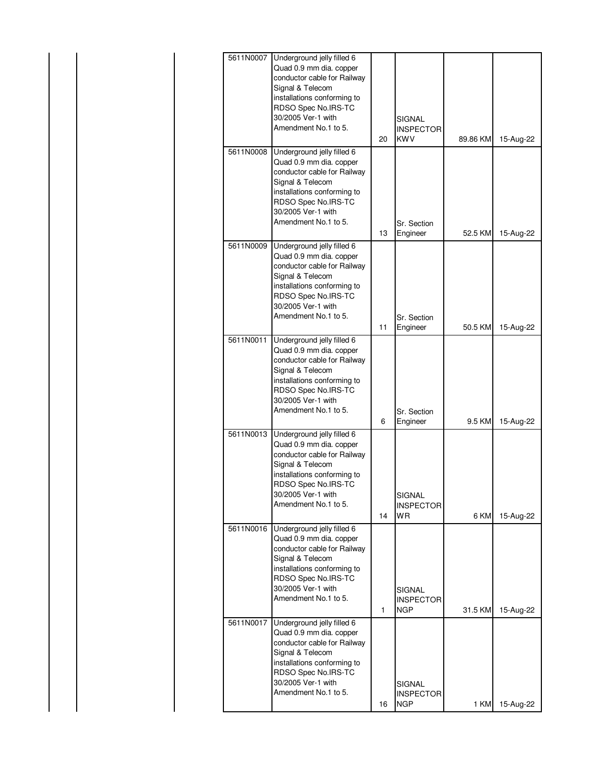| 5611N0007 | Underground jelly filled 6                      |    |                  |          |           |
|-----------|-------------------------------------------------|----|------------------|----------|-----------|
|           | Quad 0.9 mm dia. copper                         |    |                  |          |           |
|           | conductor cable for Railway                     |    |                  |          |           |
|           | Signal & Telecom                                |    |                  |          |           |
|           | installations conforming to                     |    |                  |          |           |
|           | RDSO Spec No.IRS-TC                             |    |                  |          |           |
|           | 30/2005 Ver-1 with                              |    | SIGNAL           |          |           |
|           | Amendment No.1 to 5.                            |    | <b>INSPECTOR</b> |          |           |
|           |                                                 | 20 | <b>KWV</b>       | 89.86 KM | 15-Aug-22 |
| 5611N0008 | Underground jelly filled 6                      |    |                  |          |           |
|           | Quad 0.9 mm dia. copper                         |    |                  |          |           |
|           | conductor cable for Railway                     |    |                  |          |           |
|           | Signal & Telecom                                |    |                  |          |           |
|           | installations conforming to                     |    |                  |          |           |
|           | RDSO Spec No.IRS-TC                             |    |                  |          |           |
|           | 30/2005 Ver-1 with                              |    |                  |          |           |
|           | Amendment No.1 to 5.                            |    | Sr. Section      |          |           |
|           |                                                 | 13 | Engineer         | 52.5 KM  | 15-Aug-22 |
| 5611N0009 | Underground jelly filled 6                      |    |                  |          |           |
|           | Quad 0.9 mm dia. copper                         |    |                  |          |           |
|           | conductor cable for Railway                     |    |                  |          |           |
|           | Signal & Telecom                                |    |                  |          |           |
|           | installations conforming to                     |    |                  |          |           |
|           | RDSO Spec No.IRS-TC                             |    |                  |          |           |
|           | 30/2005 Ver-1 with                              |    |                  |          |           |
|           | Amendment No.1 to 5.                            |    | Sr. Section      |          |           |
|           |                                                 | 11 | Engineer         | 50.5 KM  | 15-Aug-22 |
| 5611N0011 | Underground jelly filled 6                      |    |                  |          |           |
|           | Quad 0.9 mm dia. copper                         |    |                  |          |           |
|           | conductor cable for Railway                     |    |                  |          |           |
|           | Signal & Telecom                                |    |                  |          |           |
|           | installations conforming to                     |    |                  |          |           |
|           | RDSO Spec No.IRS-TC                             |    |                  |          |           |
|           | 30/2005 Ver-1 with                              |    |                  |          |           |
|           | Amendment No.1 to 5.                            |    | Sr. Section      |          |           |
|           |                                                 | 6  | Engineer         | 9.5 KM   | 15-Aug-22 |
| 5611N0013 | Underground jelly filled 6                      |    |                  |          |           |
|           | Quad 0.9 mm dia. copper                         |    |                  |          |           |
|           | conductor cable for Railway                     |    |                  |          |           |
|           | Signal & Telecom<br>installations conforming to |    |                  |          |           |
|           | RDSO Spec No.IRS-TC                             |    |                  |          |           |
|           | 30/2005 Ver-1 with                              |    | <b>SIGNAL</b>    |          |           |
|           | Amendment No.1 to 5.                            |    | INSPECTOR        |          |           |
|           |                                                 | 14 | WR               | 6 KM     | 15-Aug-22 |
| 5611N0016 | Underground jelly filled 6                      |    |                  |          |           |
|           | Quad 0.9 mm dia. copper                         |    |                  |          |           |
|           | conductor cable for Railway                     |    |                  |          |           |
|           | Signal & Telecom                                |    |                  |          |           |
|           | installations conforming to                     |    |                  |          |           |
|           | RDSO Spec No.IRS-TC                             |    |                  |          |           |
|           | 30/2005 Ver-1 with                              |    | SIGNAL           |          |           |
|           | Amendment No.1 to 5.                            |    | <b>INSPECTOR</b> |          |           |
|           |                                                 | 1  | <b>NGP</b>       | 31.5 KM  | 15-Aug-22 |
| 5611N0017 | Underground jelly filled 6                      |    |                  |          |           |
|           | Quad 0.9 mm dia. copper                         |    |                  |          |           |
|           | conductor cable for Railway                     |    |                  |          |           |
|           | Signal & Telecom                                |    |                  |          |           |
|           | installations conforming to                     |    |                  |          |           |
|           | RDSO Spec No.IRS-TC                             |    |                  |          |           |
|           | 30/2005 Ver-1 with                              |    | SIGNAL           |          |           |
|           | Amendment No.1 to 5.                            |    | <b>INSPECTOR</b> |          |           |
|           |                                                 | 16 | <b>NGP</b>       | 1 KM     | 15-Aug-22 |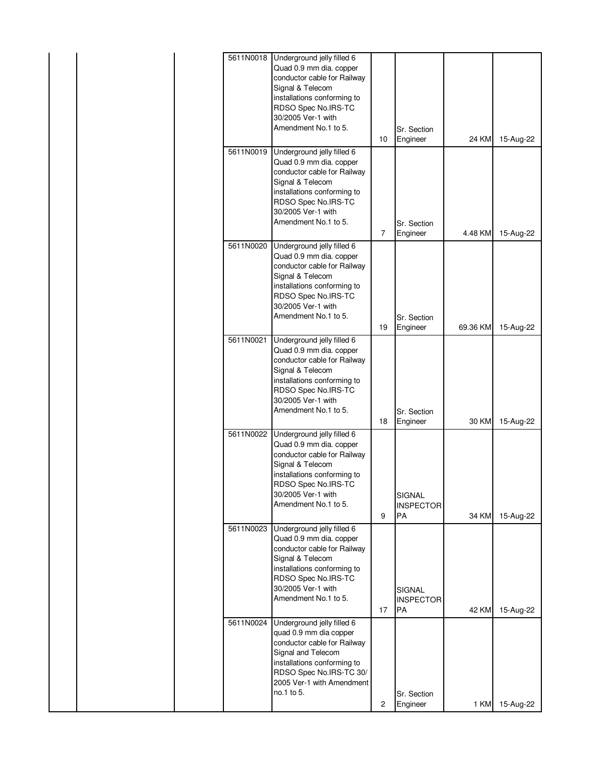| 5611N0018 | Underground jelly filled 6                             |    |                         |          |           |
|-----------|--------------------------------------------------------|----|-------------------------|----------|-----------|
|           | Quad 0.9 mm dia. copper<br>conductor cable for Railway |    |                         |          |           |
|           | Signal & Telecom                                       |    |                         |          |           |
|           | installations conforming to                            |    |                         |          |           |
|           | RDSO Spec No.IRS-TC                                    |    |                         |          |           |
|           | 30/2005 Ver-1 with                                     |    |                         |          |           |
|           | Amendment No.1 to 5.                                   |    | Sr. Section             |          |           |
|           |                                                        | 10 | Engineer                | 24 KM    | 15-Aug-22 |
| 5611N0019 | Underground jelly filled 6<br>Quad 0.9 mm dia. copper  |    |                         |          |           |
|           | conductor cable for Railway                            |    |                         |          |           |
|           | Signal & Telecom                                       |    |                         |          |           |
|           | installations conforming to                            |    |                         |          |           |
|           | RDSO Spec No.IRS-TC                                    |    |                         |          |           |
|           | 30/2005 Ver-1 with<br>Amendment No.1 to 5.             |    |                         |          |           |
|           |                                                        | 7  | Sr. Section<br>Engineer | 4.48 KM  | 15-Aug-22 |
| 5611N0020 | Underground jelly filled 6                             |    |                         |          |           |
|           | Quad 0.9 mm dia. copper                                |    |                         |          |           |
|           | conductor cable for Railway                            |    |                         |          |           |
|           | Signal & Telecom                                       |    |                         |          |           |
|           | installations conforming to<br>RDSO Spec No.IRS-TC     |    |                         |          |           |
|           | 30/2005 Ver-1 with                                     |    |                         |          |           |
|           | Amendment No.1 to 5.                                   |    | Sr. Section             |          |           |
|           |                                                        | 19 | Engineer                | 69.36 KM | 15-Aug-22 |
| 5611N0021 | Underground jelly filled 6                             |    |                         |          |           |
|           | Quad 0.9 mm dia. copper<br>conductor cable for Railway |    |                         |          |           |
|           | Signal & Telecom                                       |    |                         |          |           |
|           | installations conforming to                            |    |                         |          |           |
|           | RDSO Spec No.IRS-TC                                    |    |                         |          |           |
|           | 30/2005 Ver-1 with<br>Amendment No.1 to 5.             |    |                         |          |           |
|           |                                                        | 18 | Sr. Section<br>Engineer | 30 KM    | 15-Aug-22 |
| 5611N0022 | Underground jelly filled 6                             |    |                         |          |           |
|           | Quad 0.9 mm dia. copper                                |    |                         |          |           |
|           | conductor cable for Railway                            |    |                         |          |           |
|           | Signal & Telecom                                       |    |                         |          |           |
|           | installations conforming to<br>RDSO Spec No.IRS-TC     |    |                         |          |           |
|           | 30/2005 Ver-1 with                                     |    | SIGNAL                  |          |           |
|           | Amendment No.1 to 5.                                   |    | <b>INSPECTOR</b>        |          |           |
|           |                                                        | 9  | PA                      | 34 KM    | 15-Aug-22 |
| 5611N0023 | Underground jelly filled 6                             |    |                         |          |           |
|           | Quad 0.9 mm dia. copper<br>conductor cable for Railway |    |                         |          |           |
|           | Signal & Telecom                                       |    |                         |          |           |
|           | installations conforming to                            |    |                         |          |           |
|           | RDSO Spec No.IRS-TC                                    |    |                         |          |           |
|           | 30/2005 Ver-1 with                                     |    | <b>SIGNAL</b>           |          |           |
|           | Amendment No.1 to 5.                                   | 17 | <b>INSPECTOR</b><br>PA  | 42 KM    | 15-Aug-22 |
| 5611N0024 | Underground jelly filled 6                             |    |                         |          |           |
|           | quad 0.9 mm dia copper                                 |    |                         |          |           |
|           | conductor cable for Railway                            |    |                         |          |           |
|           | Signal and Telecom                                     |    |                         |          |           |
|           | installations conforming to<br>RDSO Spec No.IRS-TC 30/ |    |                         |          |           |
|           | 2005 Ver-1 with Amendment                              |    |                         |          |           |
|           | no.1 to 5.                                             |    | Sr. Section             |          |           |
|           |                                                        | 2  | Engineer                | 1 KM     | 15-Aug-22 |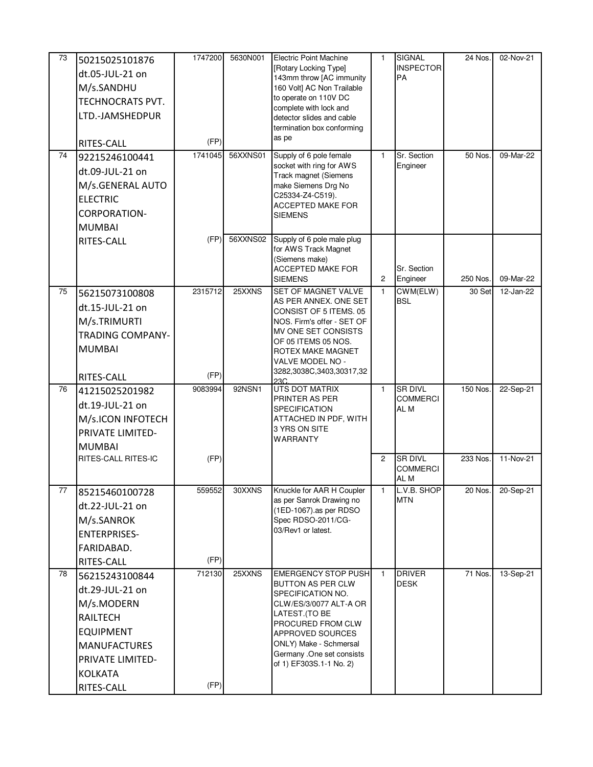| 73 | 50215025101876          | 1747200 | 5630N001 | Electric Point Machine                                 | $\mathbf{1}$   | <b>SIGNAL</b>             | 24 Nos.  | 02-Nov-21 |
|----|-------------------------|---------|----------|--------------------------------------------------------|----------------|---------------------------|----------|-----------|
|    | dt.05-JUL-21 on         |         |          | [Rotary Locking Type]                                  |                | <b>INSPECTOR</b>          |          |           |
|    | M/s.SANDHU              |         |          | 143mm throw [AC immunity<br>160 Volt] AC Non Trailable |                | <b>PA</b>                 |          |           |
|    | <b>TECHNOCRATS PVT.</b> |         |          | to operate on 110V DC                                  |                |                           |          |           |
|    |                         |         |          | complete with lock and                                 |                |                           |          |           |
|    | LTD.-JAMSHEDPUR         |         |          | detector slides and cable                              |                |                           |          |           |
|    |                         |         |          | termination box conforming<br>as pe                    |                |                           |          |           |
|    | RITES-CALL              | (FP)    |          |                                                        |                |                           |          |           |
| 74 | 92215246100441          | 1741045 | 56XXNS01 | Supply of 6 pole female<br>socket with ring for AWS    | $\mathbf{1}$   | Sr. Section<br>Engineer   | 50 Nos.  | 09-Mar-22 |
|    | dt.09-JUL-21 on         |         |          | Track magnet (Siemens                                  |                |                           |          |           |
|    | M/s.GENERAL AUTO        |         |          | make Siemens Drg No                                    |                |                           |          |           |
|    | <b>ELECTRIC</b>         |         |          | C25334-Z4-C519).<br>ACCEPTED MAKE FOR                  |                |                           |          |           |
|    | <b>CORPORATION-</b>     |         |          | <b>SIEMENS</b>                                         |                |                           |          |           |
|    | <b>MUMBAI</b>           |         |          |                                                        |                |                           |          |           |
|    | RITES-CALL              | (FP)    | 56XXNS02 | Supply of 6 pole male plug                             |                |                           |          |           |
|    |                         |         |          | for AWS Track Magnet<br>(Siemens make)                 |                |                           |          |           |
|    |                         |         |          | ACCEPTED MAKE FOR                                      |                | Sr. Section               |          |           |
|    |                         |         |          | <b>SIEMENS</b>                                         | $\overline{c}$ | Engineer                  | 250 Nos. | 09-Mar-22 |
| 75 | 56215073100808          | 2315712 | 25XXNS   | SET OF MAGNET VALVE                                    | $\mathbf{1}$   | CWM(ELW)                  | 30 Set   | 12-Jan-22 |
|    | dt.15-JUL-21 on         |         |          | AS PER ANNEX. ONE SET<br>CONSIST OF 5 ITEMS, 05        |                | <b>BSL</b>                |          |           |
|    | M/s.TRIMURTI            |         |          | NOS. Firm's offer - SET OF                             |                |                           |          |           |
|    | <b>TRADING COMPANY-</b> |         |          | MV ONE SET CONSISTS                                    |                |                           |          |           |
|    | <b>MUMBAI</b>           |         |          | OF 05 ITEMS 05 NOS.<br>ROTEX MAKE MAGNET               |                |                           |          |           |
|    |                         |         |          | VALVE MODEL NO -                                       |                |                           |          |           |
|    | RITES-CALL              | (FP)    |          | 3282,3038C,3403,30317,32                               |                |                           |          |           |
| 76 | 41215025201982          | 9083994 | 92NSN1   | 23C<br>UTS DOT MATRIX                                  | $\mathbf{1}$   | <b>SR DIVL</b>            | 150 Nos  | 22-Sep-21 |
|    | dt.19-JUL-21 on         |         |          | PRINTER AS PER                                         |                | <b>COMMERCI</b>           |          |           |
|    | M/s.ICON INFOTECH       |         |          | SPECIFICATION<br>ATTACHED IN PDF, WITH                 |                | AL M                      |          |           |
|    | PRIVATE LIMITED-        |         |          | 3 YRS ON SITE                                          |                |                           |          |           |
|    | <b>MUMBAI</b>           |         |          | <b>WARRANTY</b>                                        |                |                           |          |           |
|    | RITES-CALL RITES-IC     | (FP)    |          |                                                        | $\overline{c}$ | <b>SR DIVL</b>            | 233 Nos  | 11-Nov-21 |
|    |                         |         |          |                                                        |                | <b>COMMERCI</b>           |          |           |
|    |                         |         |          |                                                        |                | AL M                      |          |           |
| 77 | 85215460100728          | 559552  | 30XXNS   | Knuckle for AAR H Coupler<br>as per Sanrok Drawing no  | $\mathbf{1}$   | L.V.B. SHOP<br><b>MTN</b> | 20 Nos.  | 20-Sep-21 |
|    | dt.22-JUL-21 on         |         |          | (1ED-1067).as per RDSO                                 |                |                           |          |           |
|    | M/s.SANROK              |         |          | Spec RDSO-2011/CG-                                     |                |                           |          |           |
|    | <b>ENTERPRISES-</b>     |         |          | 03/Rev1 or latest.                                     |                |                           |          |           |
|    | FARIDABAD.              |         |          |                                                        |                |                           |          |           |
|    | RITES-CALL              | (FP)    |          |                                                        |                |                           |          |           |
| 78 | 56215243100844          | 712130  | 25XXNS   | <b>EMERGENCY STOP PUSH</b>                             | $\mathbf{1}$   | <b>DRIVER</b>             | 71 Nos.  | 13-Sep-21 |
|    | dt.29-JUL-21 on         |         |          | BUTTON AS PER CLW<br>SPECIFICATION NO.                 |                | <b>DESK</b>               |          |           |
|    | M/s.MODERN              |         |          | CLW/ES/3/0077 ALT-A OR                                 |                |                           |          |           |
|    | <b>RAILTECH</b>         |         |          | LATEST.(TO BE                                          |                |                           |          |           |
|    | <b>EQUIPMENT</b>        |         |          | PROCURED FROM CLW<br>APPROVED SOURCES                  |                |                           |          |           |
|    | <b>MANUFACTURES</b>     |         |          | ONLY) Make - Schmersal                                 |                |                           |          |           |
|    | PRIVATE LIMITED-        |         |          | Germany .One set consists                              |                |                           |          |           |
|    | <b>KOLKATA</b>          |         |          | of 1) EF303S.1-1 No. 2)                                |                |                           |          |           |
|    | RITES-CALL              | (FP)    |          |                                                        |                |                           |          |           |
|    |                         |         |          |                                                        |                |                           |          |           |